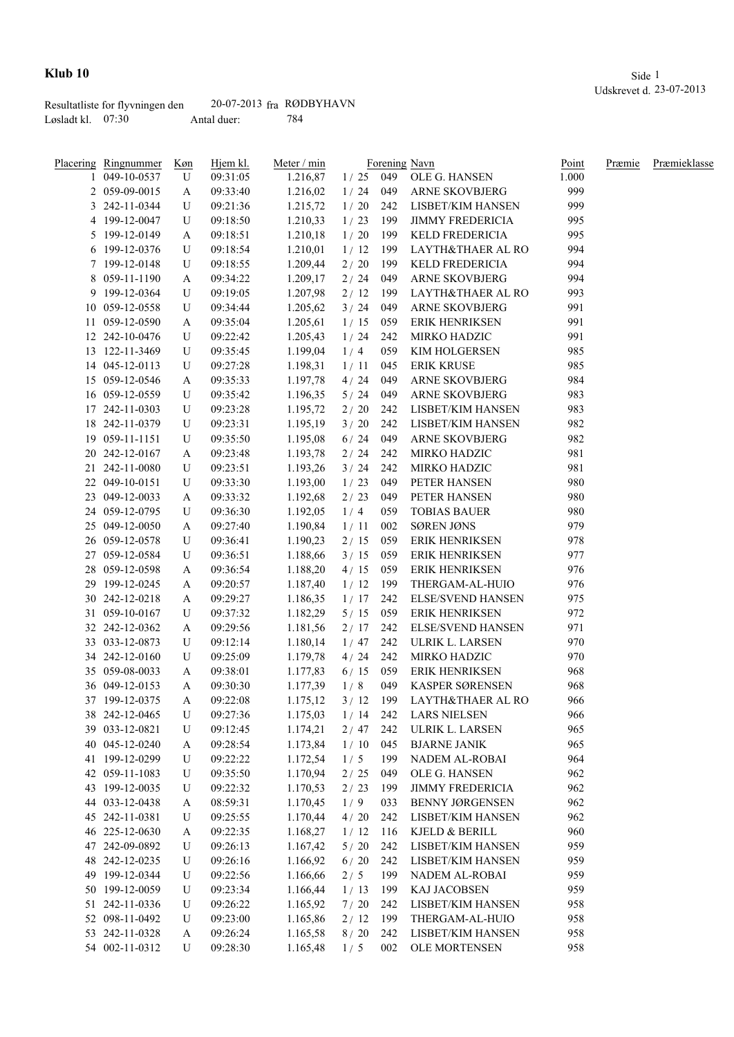|                     | Resultatliste for flyvningen den | $20-07-2013$ fra RØDBYHAVN |     |
|---------------------|----------------------------------|----------------------------|-----|
| Løsladt kl. $07:30$ |                                  | Antal duer:                | 784 |

|    | Placering Ringnummer | Køn    | Hjem kl. | Meter / min          |            |     | Forening Navn            | Point      | Præmie | Præmieklasse |
|----|----------------------|--------|----------|----------------------|------------|-----|--------------------------|------------|--------|--------------|
|    | 049-10-0537          | U      | 09:31:05 | 1.216,87             | $1/25$ 049 |     | OLE G. HANSEN            | 1.000      |        |              |
|    | 2 059-09-0015        | A      | 09:33:40 | 1.216,02             | 1/24       | 049 | <b>ARNE SKOVBJERG</b>    | 999        |        |              |
|    | 3 242-11-0344        | U      | 09:21:36 | 1.215,72             | 1/20       | 242 | LISBET/KIM HANSEN        | 999        |        |              |
|    | 4 199-12-0047        | U      | 09:18:50 | 1.210,33             | 1/23       | 199 | <b>JIMMY FREDERICIA</b>  | 995        |        |              |
|    | 5 199-12-0149        | A      | 09:18:51 | 1.210,18             | 1/20       | 199 | KELD FREDERICIA          | 995        |        |              |
|    | 6 199-12-0376        | U      | 09:18:54 | 1.210,01             | 1/12       | 199 | LAYTH&THAER AL RO        | 994        |        |              |
|    | 7 199-12-0148        | U      | 09:18:55 | 1.209,44             | 2 / 20     | 199 | KELD FREDERICIA          | 994        |        |              |
|    | 8 059-11-1190        | A      | 09:34:22 | 1.209,17             | $2/24$     | 049 | ARNE SKOVBJERG           | 994        |        |              |
| 9  | 199-12-0364          | U      | 09:19:05 | 1.207,98             | 2/12       | 199 | LAYTH&THAER AL RO        | 993        |        |              |
|    | 10 059-12-0558       | U      | 09:34:44 | 1.205,62             | 3/24       | 049 | <b>ARNE SKOVBJERG</b>    | 991        |        |              |
|    | 11 059-12-0590       | A      | 09:35:04 | 1.205,61             | 1/15       | 059 | ERIK HENRIKSEN           | 991        |        |              |
|    | 12 242-10-0476       | U      | 09:22:42 | 1.205,43             | 1/24       | 242 | MIRKO HADZIC             | 991        |        |              |
|    | 13 122-11-3469       | U      | 09:35:45 | 1.199,04             | 1/4        | 059 | KIM HOLGERSEN            | 985        |        |              |
|    | 14 045-12-0113       | U      | 09:27:28 | 1.198,31             | 1/11       | 045 | <b>ERIK KRUSE</b>        | 985        |        |              |
|    | 15 059-12-0546       | A      | 09:35:33 | 1.197,78             | 4/24       | 049 | ARNE SKOVBJERG           | 984        |        |              |
|    | 16 059-12-0559       | U      | 09:35:42 | 1.196,35             | 5/24       | 049 | ARNE SKOVBJERG           | 983        |        |              |
|    | 17 242-11-0303       | U      | 09:23:28 | 1.195,72             | 2/20       | 242 | LISBET/KIM HANSEN        | 983        |        |              |
|    | 18 242-11-0379       | U      | 09:23:31 | 1.195,19             | 3/20       | 242 | LISBET/KIM HANSEN        | 982        |        |              |
| 19 | 059-11-1151          | U      | 09:35:50 | 1.195,08             | 6/24       | 049 | ARNE SKOVBJERG           | 982        |        |              |
|    | 20 242-12-0167       | A      | 09:23:48 | 1.193,78             | 2/24       | 242 | MIRKO HADZIC             | 981        |        |              |
| 21 | 242-11-0080          | U      | 09:23:51 | 1.193,26             | 3/24       | 242 | <b>MIRKO HADZIC</b>      | 981        |        |              |
|    | 22 049-10-0151       | U      | 09:33:30 | 1.193,00             | 1/23       | 049 | PETER HANSEN             | 980        |        |              |
|    | 23 049-12-0033       |        | 09:33:32 | 1.192,68             | 2/23       | 049 | PETER HANSEN             | 980        |        |              |
|    | 24 059-12-0795       | A<br>U | 09:36:30 | 1.192,05             | 1/4        | 059 | <b>TOBIAS BAUER</b>      | 980        |        |              |
|    | 25 049-12-0050       |        | 09:27:40 |                      | 1/11       | 002 | <b>SØREN JØNS</b>        | 979        |        |              |
|    | 26 059-12-0578       | A<br>U |          | 1.190,84<br>1.190,23 | 2/15       | 059 | <b>ERIK HENRIKSEN</b>    | 978        |        |              |
|    |                      |        | 09:36:41 |                      |            |     |                          |            |        |              |
|    | 27 059-12-0584       | U      | 09:36:51 | 1.188,66             | 3/15       | 059 | ERIK HENRIKSEN           | 977<br>976 |        |              |
|    | 28 059-12-0598       | A      | 09:36:54 | 1.188,20             | 4/15       | 059 | <b>ERIK HENRIKSEN</b>    |            |        |              |
|    | 29 199-12-0245       | A      | 09:20:57 | 1.187,40             | 1/12       | 199 | THERGAM-AL-HUIO          | 976        |        |              |
|    | 30 242-12-0218       | A      | 09:29:27 | 1.186,35             | 1/17       | 242 | <b>ELSE/SVEND HANSEN</b> | 975        |        |              |
|    | 31 059-10-0167       | U      | 09:37:32 | 1.182,29             | 5/15       | 059 | <b>ERIK HENRIKSEN</b>    | 972        |        |              |
|    | 32 242-12-0362       | A      | 09:29:56 | 1.181,56             | 2/17       | 242 | <b>ELSE/SVEND HANSEN</b> | 971        |        |              |
|    | 33 033-12-0873       | U      | 09:12:14 | 1.180,14             | 1/47       | 242 | ULRIK L. LARSEN          | 970        |        |              |
|    | 34 242-12-0160       | U      | 09:25:09 | 1.179,78             | 4 / 24     | 242 | MIRKO HADZIC             | 970        |        |              |
|    | 35 059-08-0033       | A      | 09:38:01 | 1.177,83             | 6/15       | 059 | ERIK HENRIKSEN           | 968        |        |              |
|    | 36 049-12-0153       | A      | 09:30:30 | 1.177,39             | 1/8        | 049 | KASPER SØRENSEN          | 968        |        |              |
|    | 37 199-12-0375       | A      | 09:22:08 | 1.175,12             | 3/12       | 199 | LAYTH&THAER AL RO        | 966        |        |              |
|    | 38 242-12-0465       | U      | 09:27:36 | 1.175,03             | 1/14       | 242 | <b>LARS NIELSEN</b>      | 966        |        |              |
|    | 39 033-12-0821       | U      | 09:12:45 | 1.174,21             | 2/47       | 242 | ULRIK L. LARSEN          | 965        |        |              |
|    | 40 045-12-0240       | A      | 09:28:54 | 1.173,84             | 1/10       | 045 | <b>BJARNE JANIK</b>      | 965        |        |              |
|    | 41 199-12-0299       | U      | 09:22:22 | 1.172,54             | 1/5        | 199 | NADEM AL-ROBAI           | 964        |        |              |
|    | 42 059-11-1083       | U      | 09:35:50 | 1.170,94             | $2/25$     | 049 | OLE G. HANSEN            | 962        |        |              |
|    | 43 199-12-0035       | U      | 09:22:32 | 1.170,53             | 2/23       | 199 | <b>JIMMY FREDERICIA</b>  | 962        |        |              |
|    | 44 033-12-0438       | A      | 08:59:31 | 1.170,45             | 1/9        | 033 | <b>BENNY JØRGENSEN</b>   | 962        |        |              |
|    | 45 242-11-0381       | U      | 09:25:55 | 1.170,44             | 4/20       | 242 | LISBET/KIM HANSEN        | 962        |        |              |
|    | 46 225-12-0630       | A      | 09:22:35 | 1.168,27             | 1/12       | 116 | KJELD & BERILL           | 960        |        |              |
|    | 47 242-09-0892       | U      | 09:26:13 | 1.167,42             | $5/20$     | 242 | LISBET/KIM HANSEN        | 959        |        |              |
|    | 48 242-12-0235       | U      | 09:26:16 | 1.166,92             | 6/20       | 242 | LISBET/KIM HANSEN        | 959        |        |              |
|    | 49 199-12-0344       | U      | 09:22:56 | 1.166,66             | 2/5        | 199 | NADEM AL-ROBAI           | 959        |        |              |
|    | 50 199-12-0059       | U      | 09:23:34 | 1.166,44             | 1/13       | 199 | KAJ JACOBSEN             | 959        |        |              |
| 51 | 242-11-0336          | U      | 09:26:22 | 1.165,92             | 7/20       | 242 | LISBET/KIM HANSEN        | 958        |        |              |
|    | 52 098-11-0492       | U      | 09:23:00 | 1.165,86             | 2/12       | 199 | THERGAM-AL-HUIO          | 958        |        |              |
|    | 53 242-11-0328       | A      | 09:26:24 | 1.165,58             | 8/20       | 242 | LISBET/KIM HANSEN        | 958        |        |              |
|    | 54 002-11-0312       | U      | 09:28:30 | 1.165,48             | 1/5        | 002 | OLE MORTENSEN            | 958        |        |              |
|    |                      |        |          |                      |            |     |                          |            |        |              |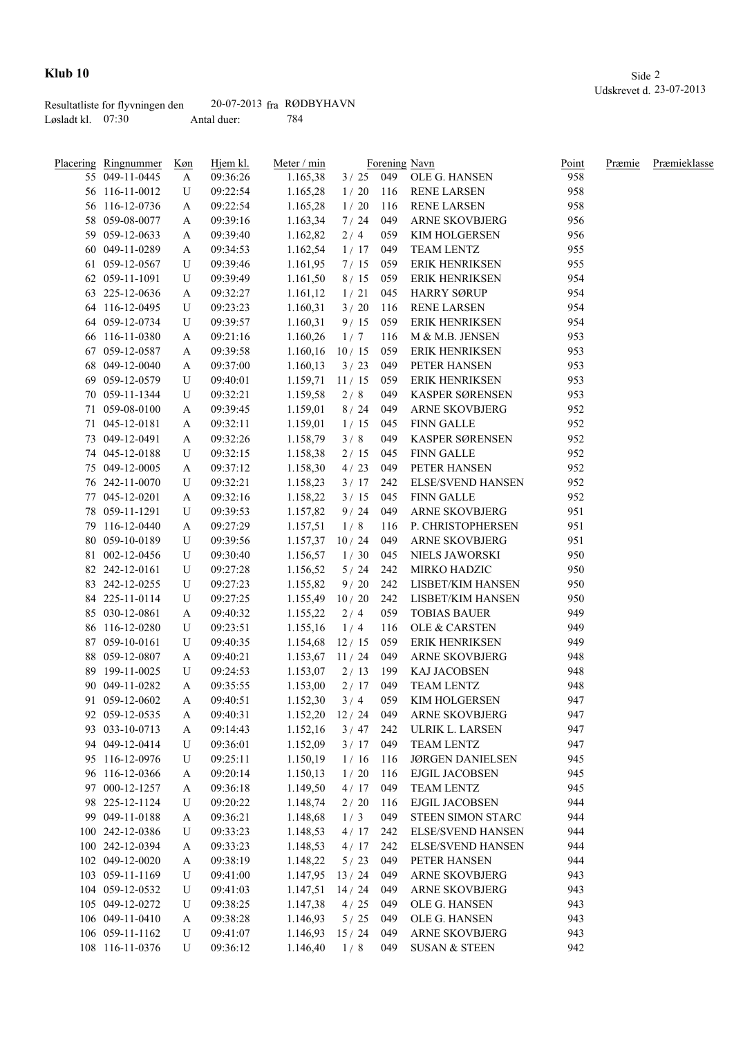|                   | Resultatliste for flyvningen den | $20-07-2013$ fra RØDBYHAVN |     |
|-------------------|----------------------------------|----------------------------|-----|
| Løsladt kl. 07:30 |                                  | Antal duer:                | 784 |

| <b>Placering Ringnummer</b> | <u>Køn</u> | Hjem kl. | Meter / min |            |     | Forening Navn            | Point | Præmie | Præmieklasse |
|-----------------------------|------------|----------|-------------|------------|-----|--------------------------|-------|--------|--------------|
| 55 049-11-0445              | A          | 09:36:26 | 1.165,38    | $3/25$ 049 |     | OLE G. HANSEN            | 958   |        |              |
| 56 116-11-0012              | U          | 09:22:54 | 1.165,28    | 1/20       | 116 | <b>RENE LARSEN</b>       | 958   |        |              |
| 56 116-12-0736              | A          | 09:22:54 | 1.165,28    | 1/20       | 116 | <b>RENE LARSEN</b>       | 958   |        |              |
| 58 059-08-0077              | A          | 09:39:16 | 1.163,34    | 7/24       | 049 | ARNE SKOVBJERG           | 956   |        |              |
| 59 059-12-0633              | A          | 09:39:40 | 1.162,82    | 2/4        | 059 | KIM HOLGERSEN            | 956   |        |              |
| 60 049-11-0289              | A          | 09:34:53 | 1.162,54    | 1/17       | 049 | TEAM LENTZ               | 955   |        |              |
| 61 059-12-0567              | U          | 09:39:46 | 1.161,95    | 7/15       | 059 | <b>ERIK HENRIKSEN</b>    | 955   |        |              |
| 62 059-11-1091              | U          | 09:39:49 | 1.161,50    | 8/15       | 059 | <b>ERIK HENRIKSEN</b>    | 954   |        |              |
| 63 225-12-0636              | A          | 09:32:27 | 1.161,12    | 1/21       | 045 | <b>HARRY SØRUP</b>       | 954   |        |              |
| 64 116-12-0495              | U          | 09:23:23 | 1.160,31    | 3/20       | 116 | <b>RENE LARSEN</b>       | 954   |        |              |
| 64 059-12-0734              | U          | 09:39:57 | 1.160,31    | 9/15       | 059 | ERIK HENRIKSEN           | 954   |        |              |
| 66 116-11-0380              | A          | 09:21:16 | 1.160,26    | 1/7        | 116 | M & M.B. JENSEN          | 953   |        |              |
| 67 059-12-0587              | A          | 09:39:58 | 1.160,16    | 10/15      | 059 | <b>ERIK HENRIKSEN</b>    | 953   |        |              |
| 68 049-12-0040              | A          | 09:37:00 | 1.160,13    | 3/23       | 049 | PETER HANSEN             | 953   |        |              |
| 69 059-12-0579              | U          | 09:40:01 | 1.159,71    | 11/15      | 059 | <b>ERIK HENRIKSEN</b>    | 953   |        |              |
| 70 059-11-1344              | U          | 09:32:21 | 1.159,58    | 2/8        | 049 | KASPER SØRENSEN          | 953   |        |              |
| 71 059-08-0100              | A          | 09:39:45 | 1.159,01    | 8/24       | 049 | ARNE SKOVBJERG           | 952   |        |              |
| 71 045-12-0181              | A          | 09:32:11 | 1.159,01    | 1/15       | 045 | <b>FINN GALLE</b>        | 952   |        |              |
| 73 049-12-0491              | A          | 09:32:26 | 1.158,79    | 3/8        | 049 | KASPER SØRENSEN          | 952   |        |              |
| 74 045-12-0188              | U          | 09:32:15 | 1.158,38    | 2/15       | 045 | <b>FINN GALLE</b>        | 952   |        |              |
| 75 049-12-0005              | A          | 09:37:12 | 1.158,30    | 4/23       | 049 | PETER HANSEN             | 952   |        |              |
| 76 242-11-0070              | U          | 09:32:21 | 1.158,23    | 3/17       | 242 | <b>ELSE/SVEND HANSEN</b> | 952   |        |              |
| 77 045-12-0201              |            | 09:32:16 | 1.158,22    | 3/15       | 045 | <b>FINN GALLE</b>        | 952   |        |              |
| 78 059-11-1291              | A<br>U     | 09:39:53 | 1.157,82    | 9/24       | 049 | <b>ARNE SKOVBJERG</b>    | 951   |        |              |
|                             |            |          |             |            |     |                          |       |        |              |
| 79 116-12-0440              | A          | 09:27:29 | 1.157,51    | 1/8        | 116 | P. CHRISTOPHERSEN        | 951   |        |              |
| 80 059-10-0189              | U          | 09:39:56 | 1.157,37    | 10/24      | 049 | <b>ARNE SKOVBJERG</b>    | 951   |        |              |
| 81 002-12-0456              | U          | 09:30:40 | 1.156,57    | 1/30       | 045 | NIELS JAWORSKI           | 950   |        |              |
| 82 242-12-0161              | U          | 09:27:28 | 1.156,52    | 5/24       | 242 | MIRKO HADZIC             | 950   |        |              |
| 83 242-12-0255              | U          | 09:27:23 | 1.155,82    | 9/20       | 242 | LISBET/KIM HANSEN        | 950   |        |              |
| 84 225-11-0114              | U          | 09:27:25 | 1.155,49    | 10/20      | 242 | LISBET/KIM HANSEN        | 950   |        |              |
| 85 030-12-0861              | A          | 09:40:32 | 1.155,22    | 2/4        | 059 | <b>TOBIAS BAUER</b>      | 949   |        |              |
| 86 116-12-0280              | U          | 09:23:51 | 1.155,16    | 1/4        | 116 | OLE & CARSTEN            | 949   |        |              |
| 87 059-10-0161              | U          | 09:40:35 | 1.154,68    | 12/15      | 059 | ERIK HENRIKSEN           | 949   |        |              |
| 88 059-12-0807              | A          | 09:40:21 | 1.153,67    | 11/24      | 049 | ARNE SKOVBJERG           | 948   |        |              |
| 89 199-11-0025              | U          | 09:24:53 | 1.153,07    | 2/13       | 199 | KAJ JACOBSEN             | 948   |        |              |
| 90 049-11-0282              | A          | 09:35:55 | 1.153,00    | 2/17       | 049 | TEAM LENTZ               | 948   |        |              |
| 91 059-12-0602              | A          | 09:40:51 | 1.152,30    | 3/4        | 059 | KIM HOLGERSEN            | 947   |        |              |
| 92 059-12-0535              | A          | 09:40:31 | 1.152,20    | 12/24      | 049 | ARNE SKOVBJERG           | 947   |        |              |
| 93 033-10-0713              | A          | 09:14:43 | 1.152,16    | $3/47$ 242 |     | ULRIK L. LARSEN          | 947   |        |              |
| 94 049-12-0414              | U          | 09:36:01 | 1.152,09    | 3/17       | 049 | TEAM LENTZ               | 947   |        |              |
| 95 116-12-0976              | U          | 09:25:11 | 1.150,19    | 1/16       | 116 | <b>JØRGEN DANIELSEN</b>  | 945   |        |              |
| 96 116-12-0366              | A          | 09:20:14 | 1.150,13    | 1/20       | 116 | <b>EJGIL JACOBSEN</b>    | 945   |        |              |
| 97 000-12-1257              | A          | 09:36:18 | 1.149,50    | 4/17       | 049 | TEAM LENTZ               | 945   |        |              |
| 98 225-12-1124              | U          | 09:20:22 | 1.148,74    | $2/20$     | 116 | <b>EJGIL JACOBSEN</b>    | 944   |        |              |
| 99 049-11-0188              | A          | 09:36:21 | 1.148,68    | 1/3        | 049 | STEEN SIMON STARC        | 944   |        |              |
| 100 242-12-0386             | U          | 09:33:23 | 1.148,53    | 4/17       | 242 | <b>ELSE/SVEND HANSEN</b> | 944   |        |              |
| 100 242-12-0394             | A          | 09:33:23 | 1.148,53    | 4/17       | 242 | <b>ELSE/SVEND HANSEN</b> | 944   |        |              |
| 102 049-12-0020             | A          | 09:38:19 | 1.148,22    | $5/23$     | 049 | PETER HANSEN             | 944   |        |              |
| 103 059-11-1169             | U          | 09:41:00 | 1.147,95    | 13/24      | 049 | ARNE SKOVBJERG           | 943   |        |              |
| 104 059-12-0532             | U          | 09:41:03 | 1.147,51    | 14/24      | 049 | ARNE SKOVBJERG           | 943   |        |              |
| 105 049-12-0272             | U          | 09:38:25 | 1.147,38    | 4/25       | 049 | OLE G. HANSEN            | 943   |        |              |
| 106 049-11-0410             | A          | 09:38:28 | 1.146,93    | $5/25$     | 049 | OLE G. HANSEN            | 943   |        |              |
| 106 059-11-1162             | U          | 09:41:07 | 1.146,93    | 15/24      | 049 | <b>ARNE SKOVBJERG</b>    | 943   |        |              |
| 108 116-11-0376             | U          | 09:36:12 | 1.146,40    | 1/8        | 049 | <b>SUSAN &amp; STEEN</b> | 942   |        |              |
|                             |            |          |             |            |     |                          |       |        |              |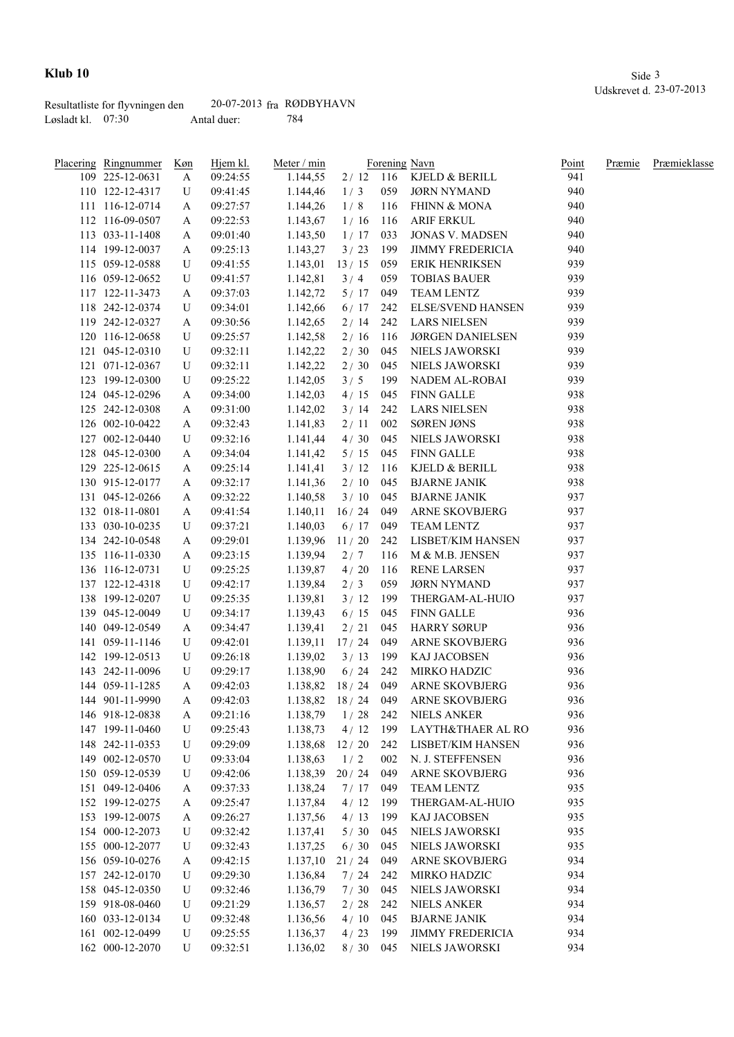|                     | Resultatliste for flyvningen den | $20-07-2013$ fra RØDBYHAVN |     |
|---------------------|----------------------------------|----------------------------|-----|
| Løsladt kl. $07:30$ |                                  | Antal duer:                | 784 |

| Placering Ringnummer | Køn | Hjem kl. | Meter / min          |             |       | Forening Navn             | Point | Præmie | Præmieklasse |
|----------------------|-----|----------|----------------------|-------------|-------|---------------------------|-------|--------|--------------|
| 109 225-12-0631      | A   | 09:24:55 | 1.144,55             |             |       | 2 / 12 116 KJELD & BERILL | 941   |        |              |
| 110 122-12-4317      | U   | 09:41:45 | 1.144,46             | 1/3         | 059   | JØRN NYMAND               | 940   |        |              |
| 111 116-12-0714      | A   | 09:27:57 | 1.144,26             | 1/8         | 116   | <b>FHINN &amp; MONA</b>   | 940   |        |              |
| 112 116-09-0507      | A   | 09:22:53 | 1.143,67             | 1/16        | 116   | <b>ARIF ERKUL</b>         | 940   |        |              |
| 113 033-11-1408      | A   | 09:01:40 | 1.143,50             | 1/17        | 033   | <b>JONAS V. MADSEN</b>    | 940   |        |              |
| 114 199-12-0037      | A   | 09:25:13 | 1.143,27             | 3/23        | 199   | <b>JIMMY FREDERICIA</b>   | 940   |        |              |
| 115 059-12-0588      | U   | 09:41:55 | 1.143,01             | 13/15       | 059   | ERIK HENRIKSEN            | 939   |        |              |
| 116 059-12-0652      | U   | 09:41:57 | 1.142,81             | 3/4         | 059   | <b>TOBIAS BAUER</b>       | 939   |        |              |
| 117 122-11-3473      | A   | 09:37:03 | 1.142,72             | $5/17$ 049  |       | <b>TEAM LENTZ</b>         | 939   |        |              |
| 118 242-12-0374      | U   | 09:34:01 | 1.142,66             | $6/17$ 242  |       | <b>ELSE/SVEND HANSEN</b>  | 939   |        |              |
| 119 242-12-0327      | A   | 09:30:56 | 1.142,65             | 2/14        | 242   | <b>LARS NIELSEN</b>       | 939   |        |              |
| 120 116-12-0658      | U   | 09:25:57 | 1.142,58             | 2/16        | - 116 | JØRGEN DANIELSEN          | 939   |        |              |
| 121 045-12-0310      | U   | 09:32:11 | 1.142,22             | 2/30        | 045   | NIELS JAWORSKI            | 939   |        |              |
| 121 071-12-0367      | U   | 09:32:11 | 1.142,22             | 2/30        | 045   | NIELS JAWORSKI            | 939   |        |              |
| 123 199-12-0300      | U   | 09:25:22 | 1.142,05             | 3/5         | 199   | NADEM AL-ROBAI            | 939   |        |              |
| 124 045-12-0296      | A   | 09:34:00 | 1.142,03             | 4/15        | 045   | <b>FINN GALLE</b>         | 938   |        |              |
| 125 242-12-0308      | A   | 09:31:00 | 1.142,02             | 3/14        | 242   | <b>LARS NIELSEN</b>       | 938   |        |              |
| 126 002-10-0422      | A   | 09:32:43 | 1.141,83             | 2/11        | 002   | <b>SØREN JØNS</b>         | 938   |        |              |
| 127 002-12-0440      | U   | 09:32:16 | 1.141,44             | 4/30        | 045   | NIELS JAWORSKI            | 938   |        |              |
| 128 045-12-0300      | A   | 09:34:04 | 1.141,42             | 5/15        | 045   | <b>FINN GALLE</b>         | 938   |        |              |
| 129 225-12-0615      | A   | 09:25:14 | 1.141,41             | 3/12        | 116   | KJELD & BERILL            | 938   |        |              |
| 130 915-12-0177      | A   | 09:32:17 | 1.141,36             | 2/10        | 045   | <b>BJARNE JANIK</b>       | 938   |        |              |
| 131 045-12-0266      |     | 09:32:22 |                      | 3/10        | 045   | <b>BJARNE JANIK</b>       | 937   |        |              |
| 132 018-11-0801      | A   |          | 1.140,58<br>1.140,11 | $16/24$ 049 |       | ARNE SKOVBJERG            | 937   |        |              |
|                      | A   | 09:41:54 |                      |             |       |                           | 937   |        |              |
| 133 030-10-0235      | U   | 09:37:21 | 1.140,03             | $6/17$ 049  |       | <b>TEAM LENTZ</b>         |       |        |              |
| 134 242-10-0548      | A   | 09:29:01 | 1.139,96             | 11/20       | 242   | LISBET/KIM HANSEN         | 937   |        |              |
| 135 116-11-0330      | A   | 09:23:15 | 1.139,94             | 2/7         | 116   | M & M.B. JENSEN           | 937   |        |              |
| 136 116-12-0731      | U   | 09:25:25 | 1.139,87             | 4/20        | 116   | RENE LARSEN               | 937   |        |              |
| 137 122-12-4318      | U   | 09:42:17 | 1.139,84             | 2/3         | 059   | <b>JØRN NYMAND</b>        | 937   |        |              |
| 138 199-12-0207      | U   | 09:25:35 | 1.139,81             | 3/12        | 199   | THERGAM-AL-HUIO           | 937   |        |              |
| 139 045-12-0049      | U   | 09:34:17 | 1.139,43             | 6/15        | 045   | FINN GALLE                | 936   |        |              |
| 140 049-12-0549      | A   | 09:34:47 | 1.139,41             | 2/21        | 045   | HARRY SØRUP               | 936   |        |              |
| 141 059-11-1146      | U   | 09:42:01 | 1.139,11             | 17/24       | 049   | <b>ARNE SKOVBJERG</b>     | 936   |        |              |
| 142 199-12-0513      | U   | 09:26:18 | 1.139,02             | 3/13        | 199   | KAJ JACOBSEN              | 936   |        |              |
| 143 242-11-0096      | U   | 09:29:17 | 1.138,90             | 6/24        | 242   | MIRKO HADZIC              | 936   |        |              |
| 144 059-11-1285      | A   | 09:42:03 | 1.138,82             | 18 / 24     | 049   | <b>ARNE SKOVBJERG</b>     | 936   |        |              |
| 144 901-11-9990      | A   | 09:42:03 | 1.138,82 18 / 24 049 |             |       | <b>ARNE SKOVBJERG</b>     | 936   |        |              |
| 146 918-12-0838      | A   | 09:21:16 | 1.138,79             | 1/28        | 242   | NIELS ANKER               | 936   |        |              |
| 147 199-11-0460      | U   | 09:25:43 | 1.138,73             | 4/12        | 199   | LAYTH&THAER AL RO         | 936   |        |              |
| 148 242-11-0353      | U   | 09:29:09 | 1.138,68             | 12/20       | 242   | LISBET/KIM HANSEN         | 936   |        |              |
| 149 002-12-0570      | U   | 09:33:04 | 1.138,63             | 1/2         | 002   | N. J. STEFFENSEN          | 936   |        |              |
| 150 059-12-0539      | U   | 09:42:06 | 1.138,39             | 20/24       | 049   | ARNE SKOVBJERG            | 936   |        |              |
| 151 049-12-0406      | A   | 09:37:33 | 1.138,24             | 7/17        | 049   | TEAM LENTZ                | 935   |        |              |
| 152 199-12-0275      | A   | 09:25:47 | 1.137,84             | 4/12        | 199   | THERGAM-AL-HUIO           | 935   |        |              |
| 153 199-12-0075      | A   | 09:26:27 | 1.137,56             | 4/13        | 199   | KAJ JACOBSEN              | 935   |        |              |
| 154 000-12-2073      | U   | 09:32:42 | 1.137,41             | $5/30$      | 045   | NIELS JAWORSKI            | 935   |        |              |
| 155 000-12-2077      | U   | 09:32:43 | 1.137,25             | $6/30$      | 045   | NIELS JAWORSKI            | 935   |        |              |
| 156 059-10-0276      | A   | 09:42:15 | 1.137,10             | 21/24       | 049   | ARNE SKOVBJERG            | 934   |        |              |
| 157 242-12-0170      | U   | 09:29:30 | 1.136,84             | 7/24        | 242   | MIRKO HADZIC              | 934   |        |              |
| 158 045-12-0350      | U   | 09:32:46 | 1.136,79             | 7/30        | 045   | NIELS JAWORSKI            | 934   |        |              |
| 159 918-08-0460      | U   | 09:21:29 | 1.136,57             | 2/28        | 242   | <b>NIELS ANKER</b>        | 934   |        |              |
| 160 033-12-0134      | U   | 09:32:48 | 1.136,56             | 4/10        | 045   | <b>BJARNE JANIK</b>       | 934   |        |              |
| 161 002-12-0499      | U   | 09:25:55 | 1.136,37             | 4/23        | 199   | <b>JIMMY FREDERICIA</b>   | 934   |        |              |
| 162 000-12-2070      | U   | 09:32:51 | 1.136,02             | 8/30        | 045   | NIELS JAWORSKI            | 934   |        |              |
|                      |     |          |                      |             |       |                           |       |        |              |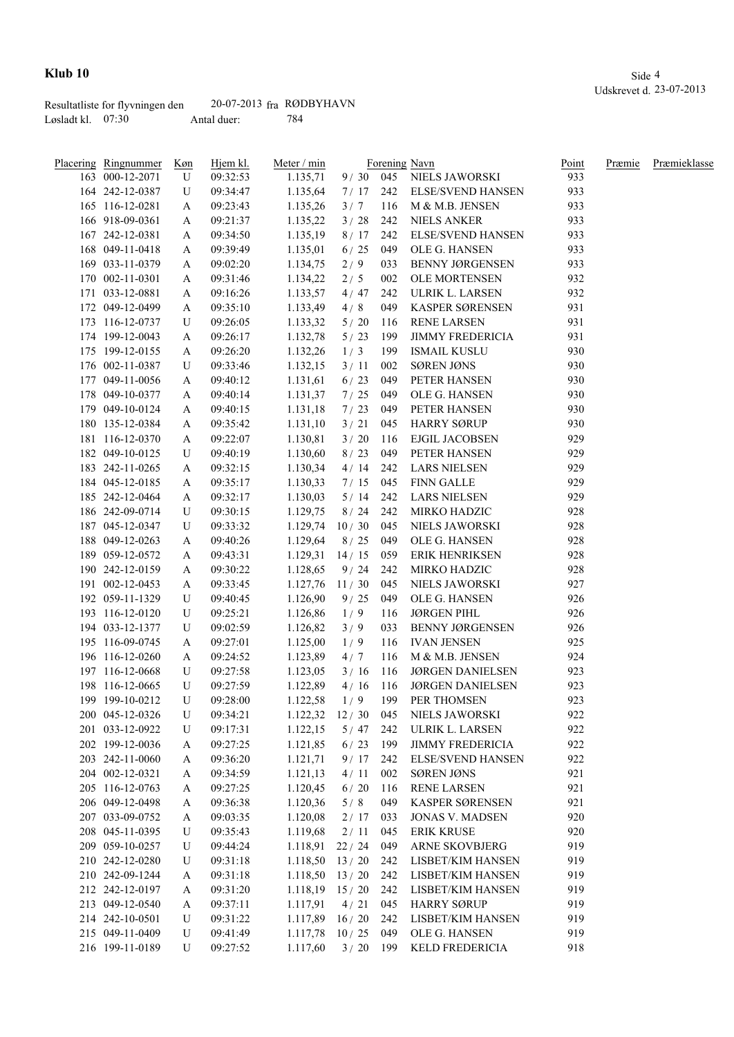|                     | Resultatliste for flyvningen den | $20-07-2013$ fra RØDBYHAVN |     |
|---------------------|----------------------------------|----------------------------|-----|
| Løsladt kl. $07:30$ |                                  | Antal duer:                | 784 |

| Placering Ringnummer               | <u>Køn</u> | Hjem kl. | Meter / min        |            |     | Forening Navn             | Point | Præmie | Præmieklasse |
|------------------------------------|------------|----------|--------------------|------------|-----|---------------------------|-------|--------|--------------|
| 163 000-12-2071                    | U          | 09:32:53 | 1.135,71           |            |     | 9 / 30 045 NIELS JAWORSKI | 933   |        |              |
| 164 242-12-0387                    | U          | 09:34:47 | 1.135,64           | 7/17       |     | 242 ELSE/SVEND HANSEN     | 933   |        |              |
| 165 116-12-0281                    | A          | 09:23:43 | 1.135,26           | 3/7        | 116 | M & M.B. JENSEN           | 933   |        |              |
| 166 918-09-0361                    | A          | 09:21:37 | 1.135,22           | 3/28       | 242 | <b>NIELS ANKER</b>        | 933   |        |              |
| 167 242-12-0381                    | A          | 09:34:50 | 1.135,19           | 8/17       | 242 | <b>ELSE/SVEND HANSEN</b>  | 933   |        |              |
| 168 049-11-0418                    | A          | 09:39:49 | 1.135,01           | 6/25       | 049 | OLE G. HANSEN             | 933   |        |              |
| 169 033-11-0379                    | A          | 09:02:20 | 1.134,75           | 2/9        | 033 | <b>BENNY JØRGENSEN</b>    | 933   |        |              |
| 170 002-11-0301                    | A          | 09:31:46 | 1.134,22           | 2/5        | 002 | OLE MORTENSEN             | 932   |        |              |
| 171 033-12-0881                    | A          | 09:16:26 | 1.133,57           | 4/47       | 242 | ULRIK L. LARSEN           | 932   |        |              |
| 172 049-12-0499                    | A          | 09:35:10 | 1.133,49           | 4/8        | 049 | KASPER SØRENSEN           | 931   |        |              |
| 173 116-12-0737                    | U          | 09:26:05 | 1.133,32           | 5/20       | 116 | <b>RENE LARSEN</b>        | 931   |        |              |
| 174 199-12-0043                    | A          | 09:26:17 | 1.132,78           | 5/23       | 199 | <b>JIMMY FREDERICIA</b>   | 931   |        |              |
| 175 199-12-0155                    | A          | 09:26:20 | 1.132,26           | 1/3        | 199 | ISMAIL KUSLU              | 930   |        |              |
| 176 002-11-0387                    | U          | 09:33:46 | 1.132,15           | 3/11       | 002 | <b>SØREN JØNS</b>         | 930   |        |              |
| 177 049-11-0056                    | A          | 09:40:12 | 1.131,61           | 6/23       | 049 | PETER HANSEN              | 930   |        |              |
| 178 049-10-0377                    | A          | 09:40:14 | 1.131,37           | 7/25       | 049 | OLE G. HANSEN             | 930   |        |              |
| 179 049-10-0124                    | A          | 09:40:15 | 1.131,18           | 7/23       | 049 | PETER HANSEN              | 930   |        |              |
| 180 135-12-0384                    | A          | 09:35:42 | 1.131,10           | 3/21       | 045 | <b>HARRY SØRUP</b>        | 930   |        |              |
| 181 116-12-0370                    | A          | 09:22:07 | 1.130,81           | 3/20       | 116 | EJGIL JACOBSEN            | 929   |        |              |
| 182 049-10-0125                    |            | 09:40:19 |                    | 8/23       | 049 | PETER HANSEN              | 929   |        |              |
|                                    | U          |          | 1.130,60           | 4/14       |     |                           | 929   |        |              |
| 183 242-11-0265                    | A          | 09:32:15 | 1.130,34           |            | 242 | <b>LARS NIELSEN</b>       | 929   |        |              |
| 184 045-12-0185<br>185 242-12-0464 | A          | 09:35:17 | 1.130,33           | 7/15       | 045 | FINN GALLE                | 929   |        |              |
|                                    | A          | 09:32:17 | 1.130,03           | 5/14       | 242 | <b>LARS NIELSEN</b>       |       |        |              |
| 186 242-09-0714                    | U          | 09:30:15 | 1.129,75           | 8/24       | 242 | MIRKO HADZIC              | 928   |        |              |
| 187 045-12-0347                    | U          | 09:33:32 | 1.129,74           | 10/30      | 045 | NIELS JAWORSKI            | 928   |        |              |
| 188 049-12-0263                    | A          | 09:40:26 | 1.129,64           | 8/25       | 049 | OLE G. HANSEN             | 928   |        |              |
| 189 059-12-0572                    | A          | 09:43:31 | $1.129,31$ 14/15   |            | 059 | ERIK HENRIKSEN            | 928   |        |              |
| 190 242-12-0159                    | A          | 09:30:22 | 1.128,65           | 9/24       | 242 | MIRKO HADZIC              | 928   |        |              |
| 191 002-12-0453                    | A          | 09:33:45 | 1.127,76           | 11/30      | 045 | NIELS JAWORSKI            | 927   |        |              |
| 192 059-11-1329                    | U          | 09:40:45 | 1.126,90           | 9/25       | 049 | OLE G. HANSEN             | 926   |        |              |
| 193 116-12-0120                    | U          | 09:25:21 | 1.126,86           | 1/9        | 116 | <b>JØRGEN PIHL</b>        | 926   |        |              |
| 194 033-12-1377                    | U          | 09:02:59 | 1.126,82           | 3/9        | 033 | <b>BENNY JØRGENSEN</b>    | 926   |        |              |
| 195 116-09-0745                    | A          | 09:27:01 | 1.125,00           | 1/9        | 116 | IVAN JENSEN               | 925   |        |              |
| 196 116-12-0260                    | A          | 09:24:52 | 1.123,89           | 4/7        | 116 | M & M.B. JENSEN           | 924   |        |              |
| 197 116-12-0668                    | U          | 09:27:58 | 1.123,05           | 3/16       | 116 | <b>JØRGEN DANIELSEN</b>   | 923   |        |              |
| 198 116-12-0665                    | U          | 09:27:59 | 1.122,89           | 4/16       | 116 | <b>JØRGEN DANIELSEN</b>   | 923   |        |              |
| 199 199-10-0212                    | U          | 09:28:00 | 1.122,58           | 1/9        | 199 | PER THOMSEN               | 923   |        |              |
| 200 045-12-0326                    | U          | 09:34:21 | $1.122,32$ $12/30$ |            | 045 | NIELS JAWORSKI            | 922   |        |              |
| 201 033-12-0922                    | U          | 09:17:31 | 1.122,15           | $5/47$ 242 |     | ULRIK L. LARSEN           | 922   |        |              |
| 202 199-12-0036                    | A          | 09:27:25 | 1.121,85           | 6/23       | 199 | <b>JIMMY FREDERICIA</b>   | 922   |        |              |
| 203 242-11-0060                    | A          | 09:36:20 | 1.121,71           | $9/17$ 242 |     | <b>ELSE/SVEND HANSEN</b>  | 922   |        |              |
| 204 002-12-0321                    | A          | 09:34:59 | 1.121,13           | 4/11       | 002 | <b>SØREN JØNS</b>         | 921   |        |              |
| 205 116-12-0763                    | A          | 09:27:25 | 1.120,45           | 6/20       | 116 | <b>RENE LARSEN</b>        | 921   |        |              |
| 206 049-12-0498                    | A          | 09:36:38 | 1.120,36           | 5/8        | 049 | KASPER SØRENSEN           | 921   |        |              |
| 207 033-09-0752                    | A          | 09:03:35 | 1.120,08           | 2/17       | 033 | <b>JONAS V. MADSEN</b>    | 920   |        |              |
| 208 045-11-0395                    | U          | 09:35:43 | 1.119,68           | 2/11       | 045 | <b>ERIK KRUSE</b>         | 920   |        |              |
| 209 059-10-0257                    | U          | 09:44:24 | 1.118,91           | 22 / 24    | 049 | <b>ARNE SKOVBJERG</b>     | 919   |        |              |
| 210 242-12-0280                    | U          | 09:31:18 | 1.118,50           | 13/20      | 242 | LISBET/KIM HANSEN         | 919   |        |              |
| 210 242-09-1244                    | A          | 09:31:18 | 1.118,50           | 13/20      | 242 | LISBET/KIM HANSEN         | 919   |        |              |
| 212 242-12-0197                    | A          | 09:31:20 | $1.118,19$ 15 / 20 |            | 242 | LISBET/KIM HANSEN         | 919   |        |              |
| 213 049-12-0540                    | A          | 09:37:11 | 1.117,91           | 4/21       | 045 | <b>HARRY SØRUP</b>        | 919   |        |              |
| 214 242-10-0501                    |            | 09:31:22 | 1.117,89           | 16/20      | 242 | LISBET/KIM HANSEN         | 919   |        |              |
|                                    | U          |          |                    |            |     |                           | 919   |        |              |
| 215 049-11-0409                    | U          | 09:41:49 | 1.117,78           | 10/25      | 049 | OLE G. HANSEN             |       |        |              |
| 216 199-11-0189                    | U          | 09:27:52 | 1.117,60           | 3/20       | 199 | KELD FREDERICIA           | 918   |        |              |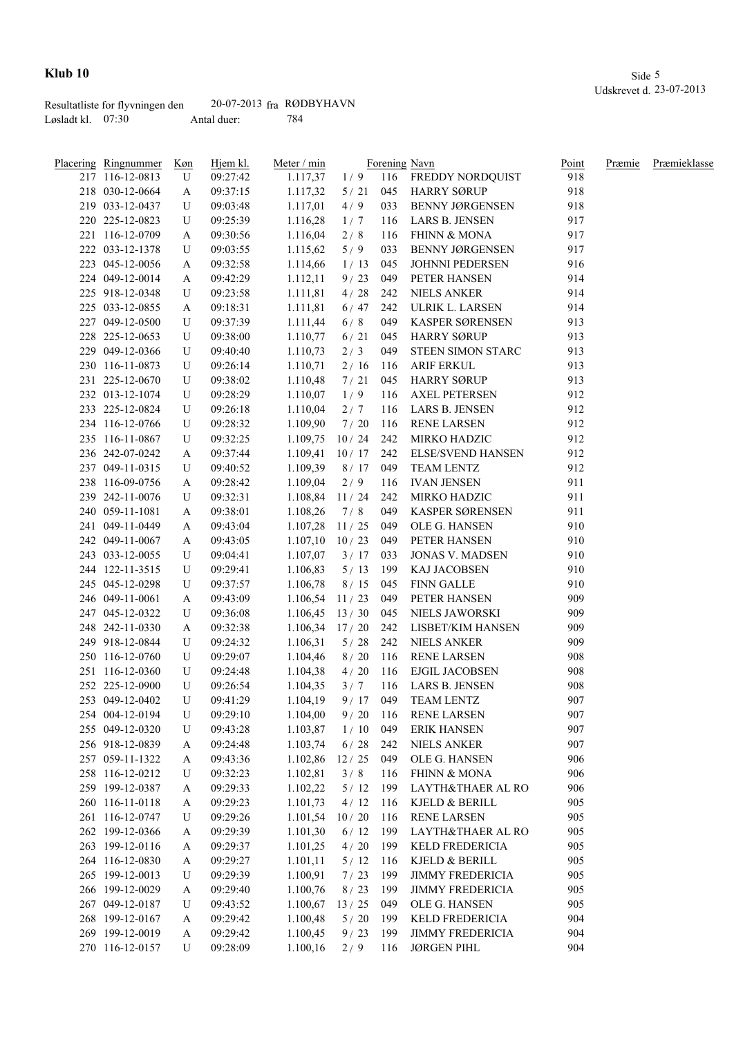|                     | Resultatliste for flyvningen den | $20-07-2013$ fra RØDBYHAVN |     |
|---------------------|----------------------------------|----------------------------|-----|
| Løsladt kl. $07:30$ |                                  | Antal duer:                | 784 |

| Placering Ringnummer | Køn    | Hjem kl. | Meter / min      |            |     | Forening Navn            | Point | Præmie | Præmieklasse |
|----------------------|--------|----------|------------------|------------|-----|--------------------------|-------|--------|--------------|
| 217 116-12-0813      | U      | 09:27:42 | 1.117,37         |            |     | 1/9 116 FREDDY NORDQUIST | 918   |        |              |
| 218 030-12-0664      | A      | 09:37:15 | 1.117,32         | 5/21       |     | 045 HARRY SØRUP          | 918   |        |              |
| 219 033-12-0437      | U      | 09:03:48 | 1.117,01         | 4/9        | 033 | <b>BENNY JØRGENSEN</b>   | 918   |        |              |
| 220 225-12-0823      | U      | 09:25:39 | 1.116,28         | 1/7        | 116 | LARS B. JENSEN           | 917   |        |              |
| 221 116-12-0709      | A      | 09:30:56 | 1.116,04         | 2/8        | 116 | FHINN & MONA             | 917   |        |              |
| 222 033-12-1378      | U      | 09:03:55 | 1.115,62         | 5/9        | 033 | <b>BENNY JØRGENSEN</b>   | 917   |        |              |
| 223 045-12-0056      | A      | 09:32:58 | 1.114,66         | 1/13       | 045 | <b>JOHNNI PEDERSEN</b>   | 916   |        |              |
| 224 049-12-0014      | A      | 09:42:29 | 1.112,11         | 9/23       | 049 | PETER HANSEN             | 914   |        |              |
| 225 918-12-0348      | U      | 09:23:58 | 1.111,81         | 4/28       | 242 | <b>NIELS ANKER</b>       | 914   |        |              |
| 225 033-12-0855      | A      | 09:18:31 | 1.111,81         | 6/47       | 242 | ULRIK L. LARSEN          | 914   |        |              |
| 227 049-12-0500      | U      | 09:37:39 | 1.111,44         | 6/8        | 049 | KASPER SØRENSEN          | 913   |        |              |
| 228 225-12-0653      | U      | 09:38:00 | 1.110,77         | 6/21       | 045 | <b>HARRY SØRUP</b>       | 913   |        |              |
| 229 049-12-0366      | U      | 09:40:40 | 1.110,73         | 2/3        | 049 | STEEN SIMON STARC        | 913   |        |              |
| 230 116-11-0873      | U      | 09:26:14 | 1.110,71         | 2/16       | 116 | ARIF ERKUL               | 913   |        |              |
| 231 225-12-0670      | U      | 09:38:02 | 1.110,48         | 7/21       | 045 | HARRY SØRUP              | 913   |        |              |
| 232 013-12-1074      | U      | 09:28:29 | 1.110,07         | 1/9        | 116 | <b>AXEL PETERSEN</b>     | 912   |        |              |
| 233 225-12-0824      | U      | 09:26:18 | 1.110,04         | 2/7        | 116 | LARS B. JENSEN           | 912   |        |              |
| 234 116-12-0766      | U      | 09:28:32 | 1.109,90         | 7/20       | 116 | <b>RENE LARSEN</b>       | 912   |        |              |
| 235 116-11-0867      | U      | 09:32:25 | 1.109,75         | 10/24      | 242 | MIRKO HADZIC             | 912   |        |              |
| 236 242-07-0242      | A      | 09:37:44 | 1.109,41         | 10/17      | 242 | <b>ELSE/SVEND HANSEN</b> | 912   |        |              |
| 237 049-11-0315      | U      | 09:40:52 | 1.109,39         | 8/17       | 049 | <b>TEAM LENTZ</b>        | 912   |        |              |
| 238 116-09-0756      | A      | 09:28:42 | 1.109,04         | 2/9        | 116 | <b>IVAN JENSEN</b>       | 911   |        |              |
| 239 242-11-0076      | U      | 09:32:31 | 1.108,84         | 11/24      | 242 | MIRKO HADZIC             | 911   |        |              |
| 240 059-11-1081      | A      | 09:38:01 | 1.108,26         | 7/8        | 049 | KASPER SØRENSEN          | 911   |        |              |
| 241 049-11-0449      | A      | 09:43:04 | 1.107,28         | 11/25      | 049 | OLE G. HANSEN            | 910   |        |              |
| 242 049-11-0067      | A      | 09:43:05 | 1.107,10         | 10/23      | 049 | PETER HANSEN             | 910   |        |              |
| 243 033-12-0055      | U      | 09:04:41 | 1.107,07         | 3/17       | 033 | <b>JONAS V. MADSEN</b>   | 910   |        |              |
| 244 122-11-3515      | U      | 09:29:41 | 1.106,83         | 5/13       | 199 | KAJ JACOBSEN             | 910   |        |              |
| 245 045-12-0298      | U      | 09:37:57 | 1.106,78         | 8/15       | 045 | FINN GALLE               | 910   |        |              |
| 246 049-11-0061      | A      | 09:43:09 | 1.106,54         | 11/23      | 049 | PETER HANSEN             | 909   |        |              |
| 247 045-12-0322      | U      | 09:36:08 | $1.106,45$ 13/30 |            | 045 | NIELS JAWORSKI           | 909   |        |              |
| 248 242-11-0330      | A      | 09:32:38 | $1.106,34$ 17/20 |            |     | 242 LISBET/KIM HANSEN    | 909   |        |              |
| 249 918-12-0844      | U      | 09:24:32 | 1.106,31         | 5/28       |     | 242 NIELS ANKER          | 909   |        |              |
| 250 116-12-0760      | U      | 09:29:07 | 1.104,46         |            |     | 8 / 20 116 RENE LARSEN   | 908   |        |              |
| 251 116-12-0360      | U      | 09:24:48 | 1.104,38         | 4/20       | 116 | EJGIL JACOBSEN           | 908   |        |              |
| 252 225-12-0900      | U      | 09:26:54 | 1.104,35         | 3/7        | 116 | LARS B. JENSEN           | 908   |        |              |
| 253 049-12-0402      | U      | 09:41:29 | 1.104,19         | $9/17$ 049 |     | TEAM LENTZ               | 907   |        |              |
| 254 004-12-0194      | U      | 09:29:10 | 1.104,00         | 9/20       | 116 | <b>RENE LARSEN</b>       | 907   |        |              |
| 255 049-12-0320      | U      | 09:43:28 | 1.103,87         | 1/10       | 049 | <b>ERIK HANSEN</b>       | 907   |        |              |
| 256 918-12-0839      | A      | 09:24:48 | 1.103,74         | 6/28       | 242 | NIELS ANKER              | 907   |        |              |
| 257 059-11-1322      | A      | 09:43:36 | 1.102,86         | 12/25      | 049 | OLE G. HANSEN            | 906   |        |              |
| 258 116-12-0212      | U      | 09:32:23 | 1.102,81         | 3/8        | 116 | <b>FHINN &amp; MONA</b>  | 906   |        |              |
| 259 199-12-0387      | A      | 09:29:33 | 1.102,22         | 5/12       | 199 | LAYTH&THAER AL RO        | 906   |        |              |
| 260 116-11-0118      | A      | 09:29:23 | 1.101,73         | $4/12$ 116 |     | KJELD & BERILL           | 905   |        |              |
| 261 116-12-0747      | U      | 09:29:26 | 1.101,54         | 10/20      | 116 | <b>RENE LARSEN</b>       | 905   |        |              |
| 262 199-12-0366      | A      | 09:29:39 | 1.101,30         | $6/12$ 199 |     | LAYTH&THAER AL RO        | 905   |        |              |
| 263 199-12-0116      | A      | 09:29:37 | 1.101,25         | 4/20       | 199 | KELD FREDERICIA          | 905   |        |              |
| 264 116-12-0830      | A      | 09:29:27 | 1.101,11         | 5/12       | 116 | KJELD & BERILL           | 905   |        |              |
| 265 199-12-0013      | U      | 09:29:39 | 1.100,91         | 7/23       | 199 | <b>JIMMY FREDERICIA</b>  | 905   |        |              |
| 266 199-12-0029      |        | 09:29:40 | 1.100,76         | 8/23       | 199 | <b>JIMMY FREDERICIA</b>  | 905   |        |              |
| 267 049-12-0187      | A<br>U | 09:43:52 | 1.100,67         | 13/25      | 049 | OLE G. HANSEN            | 905   |        |              |
|                      |        |          |                  |            |     |                          | 904   |        |              |
| 268 199-12-0167      | A      | 09:29:42 | 1.100,48         | 5/20       | 199 | KELD FREDERICIA          |       |        |              |
| 269 199-12-0019      | A      | 09:29:42 | 1.100,45         | 9/23       | 199 | <b>JIMMY FREDERICIA</b>  | 904   |        |              |
| 270 116-12-0157      | U      | 09:28:09 | 1.100,16         | 2/9        | 116 | <b>JØRGEN PIHL</b>       | 904   |        |              |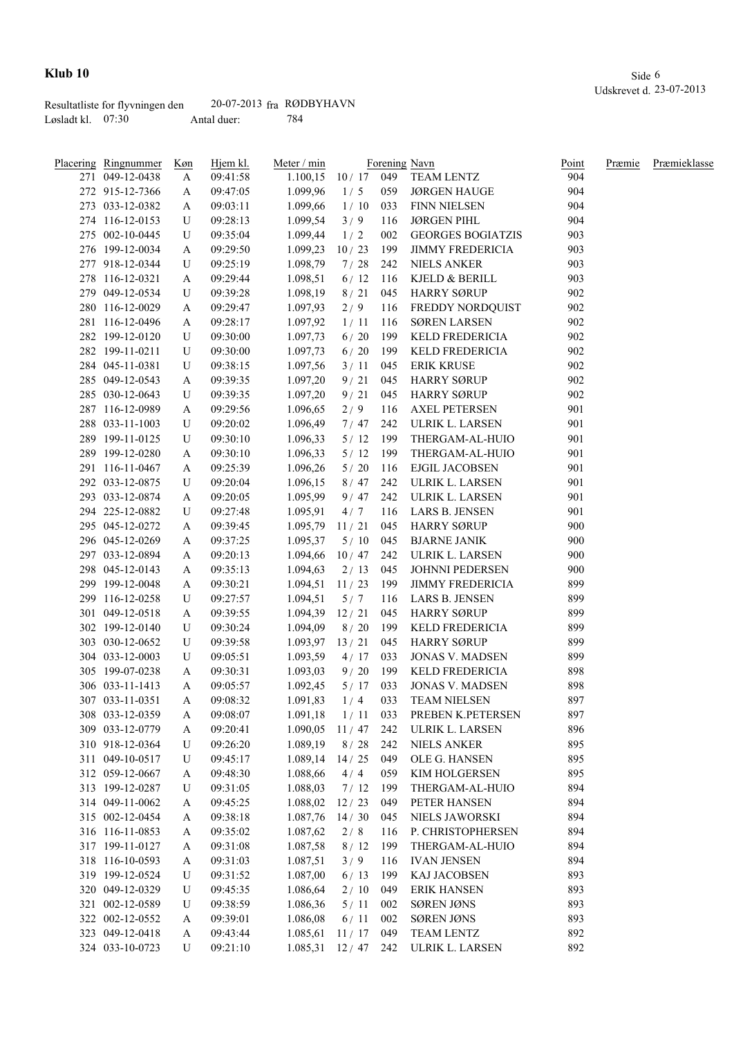|                     | Resultatliste for flyvningen den | $20-07-2013$ fra RØDBYHAVN |     |
|---------------------|----------------------------------|----------------------------|-----|
| Løsladt kl. $07:30$ |                                  | Antal duer:                | 784 |

| Placering Ringnummer | Køn | Hjem kl. | Meter / min            |              |     | Forening Navn            | Point | Præmie | Præmieklasse |
|----------------------|-----|----------|------------------------|--------------|-----|--------------------------|-------|--------|--------------|
| 271 049-12-0438      | A   | 09:41:58 | 1.100,15               |              |     | 10 / 17 049 TEAM LENTZ   | 904   |        |              |
| 272 915-12-7366      | A   | 09:47:05 | 1.099,96               | 1/5          | 059 | JØRGEN HAUGE             | 904   |        |              |
| 273 033-12-0382      | A   | 09:03:11 | 1.099,66               | 1/10         | 033 | <b>FINN NIELSEN</b>      | 904   |        |              |
| 274 116-12-0153      | U   | 09:28:13 | 1.099,54               | 3/9          | 116 | <b>JØRGEN PIHL</b>       | 904   |        |              |
| 275 002-10-0445      | U   | 09:35:04 | 1.099,44               | 1/2          | 002 | <b>GEORGES BOGIATZIS</b> | 903   |        |              |
| 276 199-12-0034      | A   | 09:29:50 | 1.099,23               | 10/23        | 199 | <b>JIMMY FREDERICIA</b>  | 903   |        |              |
| 277 918-12-0344      | U   | 09:25:19 | 1.098,79               | 7/28         | 242 | <b>NIELS ANKER</b>       | 903   |        |              |
| 278 116-12-0321      | A   | 09:29:44 | 1.098,51               | 6/12         | 116 | KJELD & BERILL           | 903   |        |              |
| 279 049-12-0534      | U   | 09:39:28 | 1.098,19               | 8/21         | 045 | <b>HARRY SØRUP</b>       | 902   |        |              |
| 280 116-12-0029      | A   | 09:29:47 | 1.097,93               | 2/9          | 116 | FREDDY NORDQUIST         | 902   |        |              |
| 281 116-12-0496      | A   | 09:28:17 | 1.097,92               | 1/11         | 116 | <b>SØREN LARSEN</b>      | 902   |        |              |
| 282 199-12-0120      | U   | 09:30:00 | 1.097,73               | 6/20         | 199 | KELD FREDERICIA          | 902   |        |              |
| 282 199-11-0211      | U   | 09:30:00 | 1.097,73               | 6/20         | 199 | <b>KELD FREDERICIA</b>   | 902   |        |              |
| 284 045-11-0381      | U   | 09:38:15 | 1.097,56               | 3/11         | 045 | <b>ERIK KRUSE</b>        | 902   |        |              |
| 285 049-12-0543      | A   | 09:39:35 | 1.097,20               | 9/21         | 045 | <b>HARRY SØRUP</b>       | 902   |        |              |
| 285 030-12-0643      | U   | 09:39:35 | 1.097,20               | 9/21         | 045 | <b>HARRY SØRUP</b>       | 902   |        |              |
| 287 116-12-0989      | A   | 09:29:56 | 1.096,65               | 2/9          | 116 | <b>AXEL PETERSEN</b>     | 901   |        |              |
| 288 033-11-1003      | U   | 09:20:02 | 1.096,49               | 7/47         | 242 | ULRIK L. LARSEN          | 901   |        |              |
| 289 199-11-0125      | U   | 09:30:10 | 1.096,33               | 5/12         | 199 | THERGAM-AL-HUIO          | 901   |        |              |
| 289 199-12-0280      | A   | 09:30:10 | 1.096,33               | 5/12         | 199 | THERGAM-AL-HUIO          | 901   |        |              |
| 291 116-11-0467      | A   | 09:25:39 | 1.096,26               | 5/20         | 116 | EJGIL JACOBSEN           | 901   |        |              |
| 292 033-12-0875      | U   | 09:20:04 | 1.096,15               | 8/47         | 242 | ULRIK L. LARSEN          | 901   |        |              |
| 293 033-12-0874      | A   | 09:20:05 | 1.095,99               | 9/47         | 242 | ULRIK L. LARSEN          | 901   |        |              |
| 294 225-12-0882      | U   | 09:27:48 | 1.095,91               | 4/7          | 116 | LARS B. JENSEN           | 901   |        |              |
| 295 045-12-0272      | A   | 09:39:45 | 1.095,79               | 11/21        | 045 | <b>HARRY SØRUP</b>       | 900   |        |              |
| 296 045-12-0269      | A   | 09:37:25 | 1.095,37               | 5/10         | 045 | <b>BJARNE JANIK</b>      | 900   |        |              |
| 297 033-12-0894      |     | 09:20:13 | 1.094,66               | 10/47        | 242 | ULRIK L. LARSEN          | 900   |        |              |
| 298 045-12-0143      | A   |          |                        | 2/13         | 045 | <b>JOHNNI PEDERSEN</b>   | 900   |        |              |
|                      | A   | 09:35:13 | 1.094,63               |              |     | <b>JIMMY FREDERICIA</b>  | 899   |        |              |
| 299 199-12-0048      | A   | 09:30:21 | 1.094,51               | 11/23        | 199 |                          | 899   |        |              |
| 299 116-12-0258      | U   | 09:27:57 | 1.094,51               | 5/7          | 116 | LARS B. JENSEN           |       |        |              |
| 301 049-12-0518      | A   | 09:39:55 | 1.094,39               | 12/21        | 045 | <b>HARRY SØRUP</b>       | 899   |        |              |
| 302 199-12-0140      | U   | 09:30:24 | 1.094,09               | 8/20         | 199 | KELD FREDERICIA          | 899   |        |              |
| 303 030-12-0652      | U   | 09:39:58 | 1.093,97               | 13/21        | 045 | <b>HARRY SØRUP</b>       | 899   |        |              |
| 304 033-12-0003      | U   | 09:05:51 | 1.093,59               | 4/17         | 033 | <b>JONAS V. MADSEN</b>   | 899   |        |              |
| 305 199-07-0238      | A   | 09:30:31 | 1.093,03               | 9/20         | 199 | KELD FREDERICIA          | 898   |        |              |
| 306 033-11-1413      | A   | 09:05:57 | 1.092,45               | 5/17         | 033 | <b>JONAS V. MADSEN</b>   | 898   |        |              |
| 307 033-11-0351      | A   | 09:08:32 | 1.091,83               | 1/4          | 033 | <b>TEAM NIELSEN</b>      | 897   |        |              |
| 308 033-12-0359      | A   | 09:08:07 | 1.091,18               | 1/11         | 033 | PREBEN K.PETERSEN        | 897   |        |              |
| 309 033-12-0779      | A   | 09:20:41 | 1.090,05               | $11/47$ 242  |     | ULRIK L. LARSEN          | 896   |        |              |
| 310 918-12-0364      | U   | 09:26:20 | 1.089,19               | $8 / 28$ 242 |     | <b>NIELS ANKER</b>       | 895   |        |              |
| 311 049-10-0517      | U   | 09:45:17 | 1.089,14               | 14/25        | 049 | OLE G. HANSEN            | 895   |        |              |
| 312 059-12-0667      | A   | 09:48:30 | 1.088,66               | 4/4          | 059 | KIM HOLGERSEN            | 895   |        |              |
| 313 199-12-0287      | U   | 09:31:05 | 1.088,03               | 7/12         | 199 | THERGAM-AL-HUIO          | 894   |        |              |
| 314 049-11-0062      | A   | 09:45:25 | 1.088,02               | 12/23        | 049 | PETER HANSEN             | 894   |        |              |
| 315 002-12-0454      | A   | 09:38:18 | 1.087,76               | 14/30        | 045 | NIELS JAWORSKI           | 894   |        |              |
| 316 116-11-0853      | A   | 09:35:02 | 1.087,62               | 2/8          | 116 | P. CHRISTOPHERSEN        | 894   |        |              |
| 317 199-11-0127      | A   | 09:31:08 | 1.087,58               | 8/12         | 199 | THERGAM-AL-HUIO          | 894   |        |              |
| 318 116-10-0593      | A   | 09:31:03 | 1.087,51               | 3/9          | 116 | <b>IVAN JENSEN</b>       | 894   |        |              |
| 319 199-12-0524      | U   | 09:31:52 | 1.087,00               | 6/13         | 199 | KAJ JACOBSEN             | 893   |        |              |
| 320 049-12-0329      | U   | 09:45:35 | 1.086,64               | 2/10         | 049 | <b>ERIK HANSEN</b>       | 893   |        |              |
| 321 002-12-0589      | U   | 09:38:59 | 1.086,36               | 5/11         | 002 | SØREN JØNS               | 893   |        |              |
| 322 002-12-0552      | A   | 09:39:01 | 1.086,08               | 6/11         | 002 | SØREN JØNS               | 893   |        |              |
| 323 049-12-0418      | A   | 09:43:44 | 1.085,61               | 11/17        | 049 | TEAM LENTZ               | 892   |        |              |
| 324 033-10-0723      | U   | 09:21:10 | $1.085,31$ $12/47$ 242 |              |     | ULRIK L. LARSEN          | 892   |        |              |
|                      |     |          |                        |              |     |                          |       |        |              |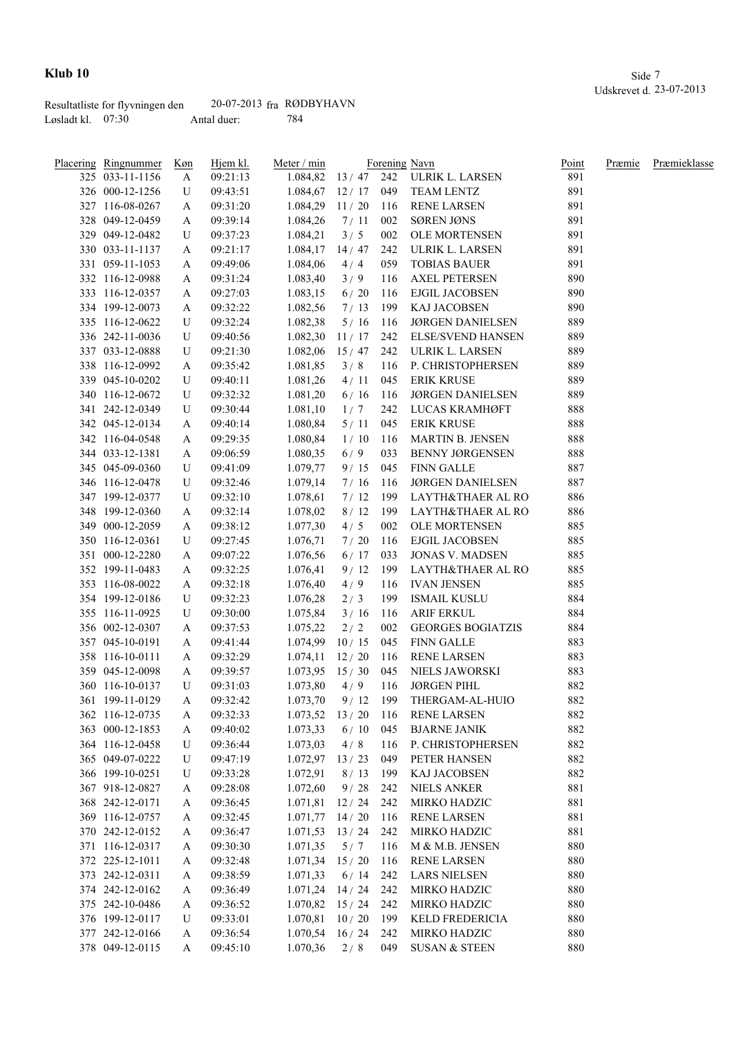|                     | Resultatliste for flyvningen den | $20-07-2013$ fra RØDBYHAVN |     |
|---------------------|----------------------------------|----------------------------|-----|
| Løsladt kl. $07:30$ |                                  | Antal duer:                | 784 |

| <b>Placering Ringnummer</b> | <u>Køn</u> | Hjem kl. | Meter / min        |       |     | Forening Navn                        | Point | Præmie | Præmieklasse |
|-----------------------------|------------|----------|--------------------|-------|-----|--------------------------------------|-------|--------|--------------|
| 325 033-11-1156             | A          | 09:21:13 |                    |       |     | 1.084,82 13 / 47 242 ULRIK L. LARSEN | 891   |        |              |
| 326 000-12-1256             | U          | 09:43:51 | $1.084,67$ 12/17   |       |     | 049 TEAM LENTZ                       | 891   |        |              |
| 327 116-08-0267             | A          | 09:31:20 | 1.084,29           | 11/20 | 116 | <b>RENE LARSEN</b>                   | 891   |        |              |
| 328 049-12-0459             | A          | 09:39:14 | 1.084,26           | 7/11  | 002 | <b>SØREN JØNS</b>                    | 891   |        |              |
| 329 049-12-0482             | U          | 09:37:23 | 1.084,21           | 3/5   | 002 | <b>OLE MORTENSEN</b>                 | 891   |        |              |
| 330 033-11-1137             | A          | 09:21:17 | 1.084,17           | 14/47 | 242 | ULRIK L. LARSEN                      | 891   |        |              |
| 331 059-11-1053             | A          | 09:49:06 | 1.084,06           | 4/4   | 059 | <b>TOBIAS BAUER</b>                  | 891   |        |              |
| 332 116-12-0988             | A          | 09:31:24 | 1.083,40           | 3/9   | 116 | <b>AXEL PETERSEN</b>                 | 890   |        |              |
| 333 116-12-0357             | A          | 09:27:03 | 1.083,15           | 6/20  | 116 | EJGIL JACOBSEN                       | 890   |        |              |
| 334 199-12-0073             | A          | 09:32:22 | 1.082,56           | 7/13  | 199 | KAJ JACOBSEN                         | 890   |        |              |
| 335 116-12-0622             | U          | 09:32:24 | 1.082,38           | 5/16  | 116 | <b>JØRGEN DANIELSEN</b>              | 889   |        |              |
| 336 242-11-0036             | U          | 09:40:56 | 1.082,30           | 11/17 | 242 | <b>ELSE/SVEND HANSEN</b>             | 889   |        |              |
| 337 033-12-0888             | U          | 09:21:30 | 1.082,06           | 15/47 | 242 | ULRIK L. LARSEN                      | 889   |        |              |
| 338 116-12-0992             | A          | 09:35:42 | 1.081,85           | 3/8   | 116 | P. CHRISTOPHERSEN                    | 889   |        |              |
| 339 045-10-0202             | U          | 09:40:11 | 1.081,26           | 4/11  | 045 | <b>ERIK KRUSE</b>                    | 889   |        |              |
| 340 116-12-0672             | U          | 09:32:32 | 1.081,20           | 6/16  | 116 | <b>JØRGEN DANIELSEN</b>              | 889   |        |              |
| 341 242-12-0349             | U          | 09:30:44 | 1.081,10           | 1/7   | 242 | LUCAS KRAMHØFT                       | 888   |        |              |
| 342 045-12-0134             | A          | 09:40:14 | 1.080,84           | 5/11  | 045 | <b>ERIK KRUSE</b>                    | 888   |        |              |
| 342 116-04-0548             | A          | 09:29:35 | 1.080,84           | 1/10  | 116 | MARTIN B. JENSEN                     | 888   |        |              |
| 344 033-12-1381             | A          | 09:06:59 | 1.080,35           | 6/9   | 033 | <b>BENNY JØRGENSEN</b>               | 888   |        |              |
| 345 045-09-0360             | U          | 09:41:09 | 1.079,77           | 9/15  | 045 | <b>FINN GALLE</b>                    | 887   |        |              |
| 346 116-12-0478             | U          | 09:32:46 | 1.079,14           | 7/16  | 116 | JØRGEN DANIELSEN                     | 887   |        |              |
| 347 199-12-0377             | U          | 09:32:10 | 1.078,61           | 7/12  |     | 199 LAYTH&THAER AL RO                | 886   |        |              |
| 348 199-12-0360             |            | 09:32:14 | 1.078,02           | 8/12  |     | 199 LAYTH&THAER AL RO                | 886   |        |              |
|                             | A          |          |                    |       |     |                                      |       |        |              |
| 349 000-12-2059             | A          | 09:38:12 | 1.077,30           | 4/5   | 002 | OLE MORTENSEN                        | 885   |        |              |
| 350 116-12-0361             | U          | 09:27:45 | 1.076,71           | 7/20  |     | 116 EJGIL JACOBSEN                   | 885   |        |              |
| 351 000-12-2280             | A          | 09:07:22 | 1.076,56           | 6/17  | 033 | <b>JONAS V. MADSEN</b>               | 885   |        |              |
| 352 199-11-0483             | A          | 09:32:25 | 1.076,41           | 9/12  | 199 | LAYTH&THAER AL RO                    | 885   |        |              |
| 353 116-08-0022             | A          | 09:32:18 | 1.076,40           | 4/9   | 116 | IVAN JENSEN                          | 885   |        |              |
| 354 199-12-0186             | U          | 09:32:23 | 1.076,28           | 2/3   | 199 | ISMAIL KUSLU                         | 884   |        |              |
| 355 116-11-0925             | U          | 09:30:00 | 1.075,84           | 3/16  | 116 | <b>ARIF ERKUL</b>                    | 884   |        |              |
| 356 002-12-0307             | A          | 09:37:53 | 1.075,22           | 2/2   | 002 | <b>GEORGES BOGIATZIS</b>             | 884   |        |              |
| 357 045-10-0191             | A          | 09:41:44 | 1.074,99           | 10/15 | 045 | <b>FINN GALLE</b>                    | 883   |        |              |
| 358 116-10-0111             | A          | 09:32:29 | 1.074,11           | 12/20 | 116 | <b>RENE LARSEN</b>                   | 883   |        |              |
| 359 045-12-0098             | A          | 09:39:57 | $1.073,95$ 15/30   |       | 045 | NIELS JAWORSKI                       | 883   |        |              |
| 360 116-10-0137             | U          | 09:31:03 | 1.073,80           | 4/9   | 116 | <b>JØRGEN PIHL</b>                   | 882   |        |              |
| 361 199-11-0129             | A          | 09:32:42 | 1.073,70           |       |     | 9/12 199 THERGAM-AL-HUIO             | 882   |        |              |
| 362 116-12-0735             | A          | 09:32:33 | 1.073,52           | 13/20 | 116 | <b>RENE LARSEN</b>                   | 882   |        |              |
| 363 000-12-1853             | A          | 09:40:02 | 1.073,33           | 6/10  | 045 | <b>BJARNE JANIK</b>                  | 882   |        |              |
| 364 116-12-0458             | U          | 09:36:44 | 1.073,03           | 4/8   | 116 | P. CHRISTOPHERSEN                    | 882   |        |              |
| 365 049-07-0222             | U          | 09:47:19 | 1.072,97           | 13/23 | 049 | PETER HANSEN                         | 882   |        |              |
| 366 199-10-0251             | U          | 09:33:28 | 1.072,91           | 8/13  | 199 | KAJ JACOBSEN                         | 882   |        |              |
| 367 918-12-0827             | A          | 09:28:08 | 1.072,60           | 9/28  | 242 | <b>NIELS ANKER</b>                   | 881   |        |              |
| 368 242-12-0171             | A          | 09:36:45 | 1.071,81           | 12/24 | 242 | MIRKO HADZIC                         | 881   |        |              |
| 369 116-12-0757             | A          | 09:32:45 | 1.071,77           | 14/20 | 116 | <b>RENE LARSEN</b>                   | 881   |        |              |
| 370 242-12-0152             | A          | 09:36:47 | 1.071,53           | 13/24 | 242 | MIRKO HADZIC                         | 881   |        |              |
| 371 116-12-0317             | A          | 09:30:30 | 1.071,35           | 5/7   | 116 | M & M.B. JENSEN                      | 880   |        |              |
| 372 225-12-1011             | A          | 09:32:48 | 1.071,34           | 15/20 | 116 | <b>RENE LARSEN</b>                   | 880   |        |              |
| 373 242-12-0311             | A          | 09:38:59 | 1.071,33           | 6/14  | 242 | <b>LARS NIELSEN</b>                  | 880   |        |              |
| 374 242-12-0162             | A          | 09:36:49 | $1.071,24$ 14 / 24 |       | 242 | MIRKO HADZIC                         | 880   |        |              |
| 375 242-10-0486             | A          | 09:36:52 | $1.070,82$ 15 / 24 |       | 242 | MIRKO HADZIC                         | 880   |        |              |
| 376 199-12-0117             | U          | 09:33:01 | 1.070,81           | 10/20 | 199 | KELD FREDERICIA                      | 880   |        |              |
| 377 242-12-0166             | A          | 09:36:54 | $1.070,54$ 16 / 24 |       | 242 | MIRKO HADZIC                         | 880   |        |              |
| 378 049-12-0115             | A          | 09:45:10 | 1.070,36           | 2/8   | 049 | <b>SUSAN &amp; STEEN</b>             | 880   |        |              |
|                             |            |          |                    |       |     |                                      |       |        |              |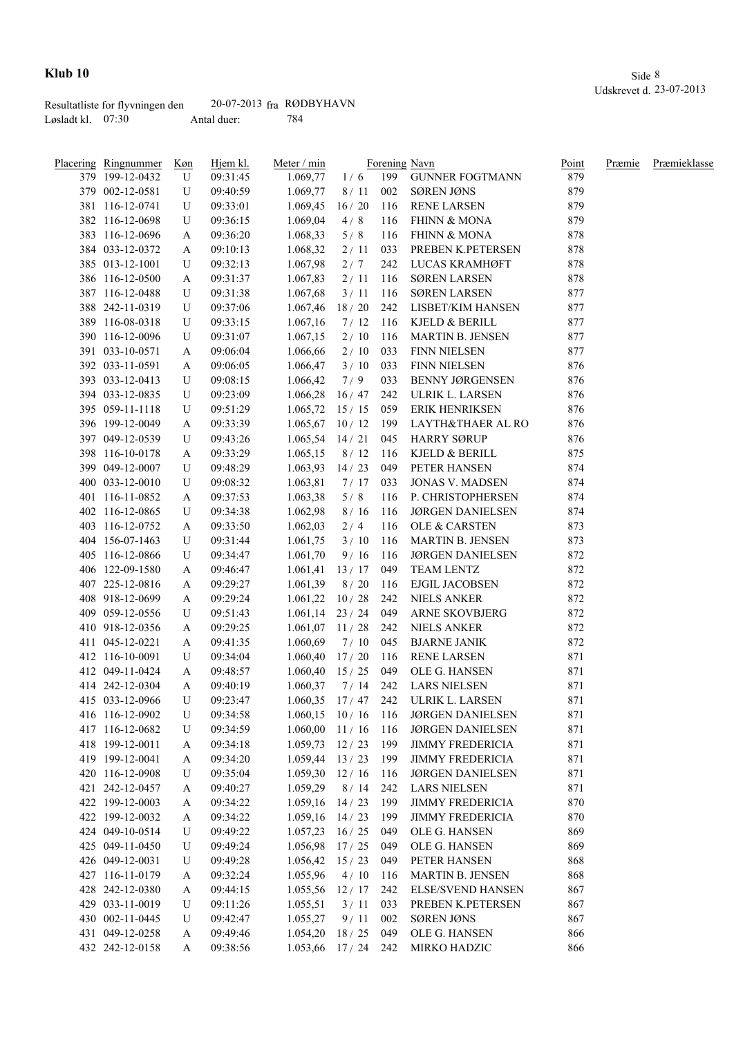|                     | Resultatliste for flyvningen den | $20-07-2013$ fra RØDBYHAVN |     |
|---------------------|----------------------------------|----------------------------|-----|
| Løsladt kl. $07:30$ |                                  | Antal duer:                | 784 |

| Placering Ringnummer | Køn | Hjem kl. | Meter / min                       |             |       | Forening Navn                        | Point | Præmie | Præmieklasse |
|----------------------|-----|----------|-----------------------------------|-------------|-------|--------------------------------------|-------|--------|--------------|
| 379 199-12-0432      | U   | 09:31:45 | 1.069,77                          | 1/6         |       | 199 GUNNER FOGTMANN                  | 879   |        |              |
| 379 002-12-0581      | U   | 09:40:59 | 1.069,77                          | 8/11        | 002   | SØREN JØNS                           | 879   |        |              |
| 381 116-12-0741      | U   | 09:33:01 | 1.069,45                          | 16/20       |       | 116 RENE LARSEN                      | 879   |        |              |
| 382 116-12-0698      | U   | 09:36:15 | 1.069,04                          | 4/8         | 116   | <b>FHINN &amp; MONA</b>              | 879   |        |              |
| 383 116-12-0696      | A   | 09:36:20 | 1.068,33                          | 5/8         | 116   | FHINN & MONA                         | 878   |        |              |
| 384 033-12-0372      | A   | 09:10:13 | 1.068,32                          | 2/11        | 033   | PREBEN K.PETERSEN                    | 878   |        |              |
| 385 013-12-1001      | U   | 09:32:13 | 1.067,98                          | 2/7         | 242   | LUCAS KRAMHØFT                       | 878   |        |              |
| 386 116-12-0500      | A   | 09:31:37 | 1.067,83                          | 2/11        | 116   | <b>SØREN LARSEN</b>                  | 878   |        |              |
| 387 116-12-0488      | U   | 09:31:38 | 1.067,68                          | 3/11        | 116   | <b>SØREN LARSEN</b>                  | 877   |        |              |
| 388 242-11-0319      | U   | 09:37:06 | 1.067,46                          | 18/20       |       | 242 LISBET/KIM HANSEN                | 877   |        |              |
| 389 116-08-0318      | U   | 09:33:15 | 1.067,16                          | $7/12$ 116  |       | KJELD & BERILL                       | 877   |        |              |
| 390 116-12-0096      | U   | 09:31:07 | 1.067,15                          | $2/10$ 116  |       | <b>MARTIN B. JENSEN</b>              | 877   |        |              |
| 391 033-10-0571      | A   | 09:06:04 | 1.066,66                          | 2/10        | 033   | <b>FINN NIELSEN</b>                  | 877   |        |              |
| 392 033-11-0591      | A   | 09:06:05 | 1.066,47                          | 3/10        | 033   | <b>FINN NIELSEN</b>                  | 876   |        |              |
| 393 033-12-0413      | U   | 09:08:15 | 1.066,42                          | 7/9         | 033   | <b>BENNY JØRGENSEN</b>               | 876   |        |              |
| 394 033-12-0835      | U   | 09:23:09 | 1.066,28                          | 16/47       | 242   | ULRIK L. LARSEN                      | 876   |        |              |
| 395 059-11-1118      | U   | 09:51:29 | 1.065,72                          | 15/15       | 059   | <b>ERIK HENRIKSEN</b>                | 876   |        |              |
| 396 199-12-0049      | A   | 09:33:39 | $1.065,67$ 10 / 12                |             | 199   | LAYTH&THAER AL RO                    | 876   |        |              |
| 397 049-12-0539      | U   | 09:43:26 | 1.065,54                          | 14/21       | 045   | <b>HARRY SØRUP</b>                   | 876   |        |              |
| 398 116-10-0178      | A   | 09:33:29 | 1.065,15                          | 8/12        | 116   | KJELD & BERILL                       | 875   |        |              |
| 399 049-12-0007      | U   | 09:48:29 | 1.063,93                          | 14/23       | 049   | PETER HANSEN                         | 874   |        |              |
| 400 033-12-0010      | U   | 09:08:32 | 1.063,81                          | 7 / 17      | 033   | <b>JONAS V. MADSEN</b>               | 874   |        |              |
| 401 116-11-0852      | A   | 09:37:53 | 1.063,38                          | 5/8         | 116   | P. CHRISTOPHERSEN                    | 874   |        |              |
| 402 116-12-0865      | U   | 09:34:38 | 1.062,98                          | 8/16        | 116   | <b>JØRGEN DANIELSEN</b>              | 874   |        |              |
| 403 116-12-0752      | A   | 09:33:50 | 1.062,03                          | 2/4         | 116   | OLE & CARSTEN                        | 873   |        |              |
| 404 156-07-1463      | U   | 09:31:44 | 1.061,75                          | 3 / 10      | 116   | MARTIN B. JENSEN                     | 873   |        |              |
| 405 116-12-0866      | U   | 09:34:47 | 1.061,70                          | 9/16        | 116   | JØRGEN DANIELSEN                     | 872   |        |              |
| 406 122-09-1580      | A   | 09:46:47 | 1.061,41                          | 13/17       |       | 049 TEAM LENTZ                       | 872   |        |              |
| 407 225-12-0816      |     | 09:29:27 | 1.061,39                          | 8/20        | - 116 | EJGIL JACOBSEN                       | 872   |        |              |
| 408 918-12-0699      | A   |          |                                   | 10/28       |       | 242 NIELS ANKER                      | 872   |        |              |
|                      | A   | 09:29:24 | 1.061,22                          |             |       |                                      |       |        |              |
| 409 059-12-0556      | U   | 09:51:43 | 1.061,14                          | 23 / 24 049 |       | ARNE SKOVBJERG                       | 872   |        |              |
| 410 918-12-0356      | A   | 09:29:25 | $1.061,07$ 11/28                  |             | 242   | NIELS ANKER                          | 872   |        |              |
| 411 045-12-0221      | A   | 09:41:35 | 1.060,69                          | $7/10$ 045  |       | <b>BJARNE JANIK</b>                  | 872   |        |              |
| 412 116-10-0091      | U   | 09:34:04 | 1.060,40                          | $17/20$ 116 |       | RENE LARSEN                          | 871   |        |              |
| 412 049-11-0424      | A   | 09:48:57 | $1.060,40$ 15 / 25                |             | 049   | OLE G. HANSEN                        | 871   |        |              |
| 414 242-12-0304      | A   | 09:40:19 | 1.060,37                          |             |       | 7 / 14 242 LARS NIELSEN              | 871   |        |              |
| 415 033-12-0966      | U   | 09:23:47 |                                   |             |       | 1.060,35 17 / 47 242 ULRIK L. LARSEN | 871   |        |              |
| 416 116-12-0902      | U   | 09:34:58 | $1.060, 15 \quad 10/16 \quad 116$ |             |       | <b>JØRGEN DANIELSEN</b>              | 871   |        |              |
| 417 116-12-0682      | U   | 09:34:59 | $1.060,00$ $11/16$ $116$          |             |       | <b>JØRGEN DANIELSEN</b>              | 871   |        |              |
| 418 199-12-0011      | A   | 09:34:18 | $1.059,73$ $12 / 23$ 199          |             |       | <b>JIMMY FREDERICIA</b>              | 871   |        |              |
| 419 199-12-0041      | A   | 09:34:20 | $1.059,44$ $13 / 23$ 199          |             |       | <b>JIMMY FREDERICIA</b>              | 871   |        |              |
| 420 116-12-0908      | U   | 09:35:04 | $1.059,30$ $12/16$ 116            |             |       | <b>JØRGEN DANIELSEN</b>              | 871   |        |              |
| 421 242-12-0457      | A   | 09:40:27 | 1.059,29                          | 8/14        | 242   | <b>LARS NIELSEN</b>                  | 871   |        |              |
| 422 199-12-0003      | A   | 09:34:22 | 1.059,16                          | 14/23       | 199   | <b>JIMMY FREDERICIA</b>              | 870   |        |              |
| 422 199-12-0032      | A   | 09:34:22 | 1.059,16                          | 14/23       | 199   | <b>JIMMY FREDERICIA</b>              | 870   |        |              |
| 424 049-10-0514      | U   | 09:49:22 | 1.057,23                          | 16/25       | 049   | OLE G. HANSEN                        | 869   |        |              |
| 425 049-11-0450      | U   | 09:49:24 | 1.056,98                          | 17/25       | 049   | OLE G. HANSEN                        | 869   |        |              |
| 426 049-12-0031      | U   | 09:49:28 | 1.056,42                          | 15/23       | 049   | PETER HANSEN                         | 868   |        |              |
| 427 116-11-0179      | A   | 09:32:24 | 1.055,96                          | 4/10        | 116   | <b>MARTIN B. JENSEN</b>              | 868   |        |              |
| 428 242-12-0380      | A   | 09:44:15 | 1.055,56                          | 12/17       | 242   | <b>ELSE/SVEND HANSEN</b>             | 867   |        |              |
| 429 033-11-0019      | U   | 09:11:26 | 1.055,51                          | 3/11        | 033   | PREBEN K.PETERSEN                    | 867   |        |              |
| 430 002-11-0445      | U   | 09:42:47 | 1.055,27                          | 9/11        | 002   | SØREN JØNS                           | 867   |        |              |
| 431 049-12-0258      | A   | 09:49:46 | 1.054,20                          | 18/25       | 049   | OLE G. HANSEN                        | 866   |        |              |
| 432 242-12-0158      | A   | 09:38:56 | $1.053,66$ $17/24$ 242            |             |       | MIRKO HADZIC                         | 866   |        |              |
|                      |     |          |                                   |             |       |                                      |       |        |              |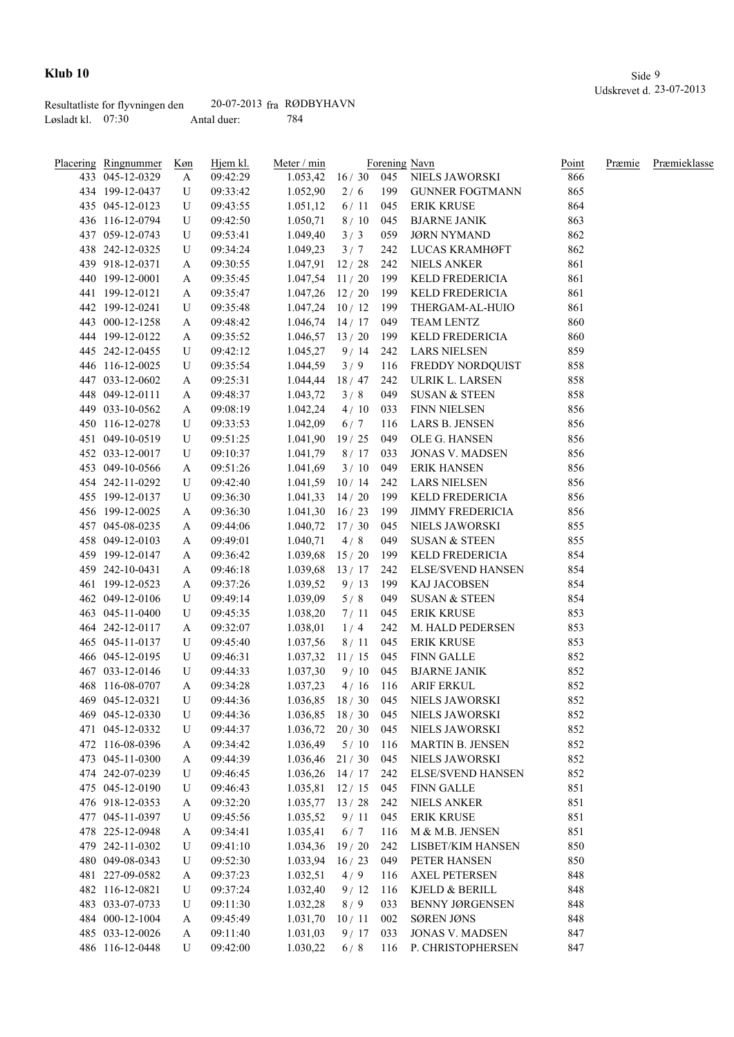|                     | Resultatliste for flyvningen den | $20-07-2013$ fra RØDBYHAVN |     |
|---------------------|----------------------------------|----------------------------|-----|
| Løsladt kl. $07:30$ |                                  | Antal duer:                | 784 |

| <u>Placering Ringnummer</u> | <u>Køn</u> | Hjem kl. | Meter / min        |             |     | Forening Navn                       | Point | Præmie | Præmieklasse |
|-----------------------------|------------|----------|--------------------|-------------|-----|-------------------------------------|-------|--------|--------------|
| 433 045-12-0329             | A          | 09:42:29 | 1.053,42           |             |     | 16 / 30 045 NIELS JAWORSKI          | 866   |        |              |
| 434 199-12-0437             | U          | 09:33:42 | 1.052,90           | 2/6         | 199 | <b>GUNNER FOGTMANN</b>              | 865   |        |              |
| 435 045-12-0123             | U          | 09:43:55 | 1.051,12           | 6/11        | 045 | <b>ERIK KRUSE</b>                   | 864   |        |              |
| 436 116-12-0794             | U          | 09:42:50 | 1.050,71           | 8/10        | 045 | <b>BJARNE JANIK</b>                 | 863   |        |              |
| 437 059-12-0743             | U          | 09:53:41 | 1.049,40           | 3/3         | 059 | <b>JØRN NYMAND</b>                  | 862   |        |              |
| 438 242-12-0325             | U          | 09:34:24 | 1.049,23           | 3/7         | 242 | LUCAS KRAMHØFT                      | 862   |        |              |
| 439 918-12-0371             | A          | 09:30:55 | $1.047,91$ 12/28   |             | 242 | <b>NIELS ANKER</b>                  | 861   |        |              |
| 440 199-12-0001             | A          | 09:35:45 | $1.047,54$ 11/20   |             | 199 | KELD FREDERICIA                     | 861   |        |              |
| 441 199-12-0121             | A          | 09:35:47 | $1.047,26$ 12/20   |             | 199 | KELD FREDERICIA                     | 861   |        |              |
| 442 199-12-0241             | U          | 09:35:48 | $1.047,24$ 10 / 12 |             | 199 | THERGAM-AL-HUIO                     | 861   |        |              |
| 443 000-12-1258             | A          | 09:48:42 | $1.046,74$ 14 / 17 |             | 049 | <b>TEAM LENTZ</b>                   | 860   |        |              |
| 444 199-12-0122             | A          | 09:35:52 | $1.046,57$ 13 / 20 |             | 199 | KELD FREDERICIA                     | 860   |        |              |
| 445 242-12-0455             | U          | 09:42:12 | 1.045,27           | 9/14        | 242 | <b>LARS NIELSEN</b>                 | 859   |        |              |
| 446 116-12-0025             | U          | 09:35:54 | 1.044,59           | 3/9         | 116 | FREDDY NORDQUIST                    | 858   |        |              |
| 447 033-12-0602             | A          | 09:25:31 | 1.044,44           | 18 / 47     | 242 | ULRIK L. LARSEN                     | 858   |        |              |
| 448 049-12-0111             | A          | 09:48:37 | 1.043,72           | 3/8         | 049 | <b>SUSAN &amp; STEEN</b>            | 858   |        |              |
| 449 033-10-0562             | A          | 09:08:19 | 1.042,24           | 4/10        | 033 | <b>FINN NIELSEN</b>                 | 856   |        |              |
| 450 116-12-0278             | U          | 09:33:53 | 1.042,09           | 6/7         | 116 | LARS B. JENSEN                      | 856   |        |              |
| 451 049-10-0519             | U          | 09:51:25 | 1.041,90           | 19/25       | 049 | OLE G. HANSEN                       | 856   |        |              |
| 452 033-12-0017             | U          | 09:10:37 | 1.041,79           | 8/17        | 033 | <b>JONAS V. MADSEN</b>              | 856   |        |              |
| 453 049-10-0566             | A          | 09:51:26 | 1.041,69           | 3/10        | 049 | <b>ERIK HANSEN</b>                  | 856   |        |              |
| 454 242-11-0292             | U          | 09:42:40 | 1.041,59           | 10/14       | 242 | LARS NIELSEN                        | 856   |        |              |
| 455 199-12-0137             | U          | 09:36:30 | 1.041,33           | 14/20       | 199 | KELD FREDERICIA                     | 856   |        |              |
| 456 199-12-0025             | A          | 09:36:30 | 1.041,30           | 16/23       | 199 | <b>JIMMY FREDERICIA</b>             | 856   |        |              |
| 457 045-08-0235             | A          | 09:44:06 | $1.040,72$ 17/30   |             | 045 | NIELS JAWORSKI                      | 855   |        |              |
| 458 049-12-0103             | A          | 09:49:01 | 1.040,71           | 4/8         | 049 | <b>SUSAN &amp; STEEN</b>            | 855   |        |              |
| 459 199-12-0147             | A          | 09:36:42 | 1.039,68           | 15/20       | 199 | KELD FREDERICIA                     | 854   |        |              |
| 459 242-10-0431             |            |          | 1.039,68           | $13/17$ 242 |     | <b>ELSE/SVEND HANSEN</b>            | 854   |        |              |
|                             | A          | 09:46:18 |                    |             |     |                                     |       |        |              |
| 461 199-12-0523             | A          | 09:37:26 | 1.039,52           | 9/13        | 199 | KAJ JACOBSEN                        | 854   |        |              |
| 462 049-12-0106             | U          | 09:49:14 | 1.039,09           | 5/8         | 049 | <b>SUSAN &amp; STEEN</b>            | 854   |        |              |
| 463 045-11-0400             | U          | 09:45:35 | 1.038,20           | 7/11        | 045 | <b>ERIK KRUSE</b>                   | 853   |        |              |
| 464 242-12-0117             | A          | 09:32:07 | 1.038,01           | 1/4         | 242 | M. HALD PEDERSEN                    | 853   |        |              |
| 465 045-11-0137             | U          | 09:45:40 | 1.037,56           | 8/11        | 045 | <b>ERIK KRUSE</b>                   | 853   |        |              |
| 466 045-12-0195             | U          | 09:46:31 | 1.037,32           | 11/15       | 045 | FINN GALLE                          | 852   |        |              |
| 467 033-12-0146             | U          | 09:44:33 | 1.037,30           | $9/10$ 045  |     | <b>BJARNE JANIK</b>                 | 852   |        |              |
| 468 116-08-0707             | A          | 09:34:28 | 1.037,23           | $4/16$ 116  |     | <b>ARIF ERKUL</b>                   | 852   |        |              |
| 469 045-12-0321             | U          | 09:44:36 |                    |             |     | 1.036,85 18 / 30 045 NIELS JAWORSKI | 852   |        |              |
| 469 045-12-0330             | U          | 09:44:36 | $1.036,85$ 18 / 30 |             | 045 | NIELS JAWORSKI                      | 852   |        |              |
| 471 045-12-0332             | U          | 09:44:37 | 1.036,72           | 20/30       | 045 | NIELS JAWORSKI                      | 852   |        |              |
| 472 116-08-0396             | A          | 09:34:42 | 1.036,49           | 5/10        | 116 | <b>MARTIN B. JENSEN</b>             | 852   |        |              |
| 473 045-11-0300             | A          | 09:44:39 | 1.036,46           | 21/30       | 045 | NIELS JAWORSKI                      | 852   |        |              |
| 474 242-07-0239             | U          | 09:46:45 | 1.036,26           | 14/17       | 242 | ELSE/SVEND HANSEN                   | 852   |        |              |
| 475 045-12-0190             | U          | 09:46:43 | 1.035,81           | 12/15       | 045 | <b>FINN GALLE</b>                   | 851   |        |              |
| 476 918-12-0353             | A          | 09:32:20 | 1.035,77           | 13/28       | 242 | <b>NIELS ANKER</b>                  | 851   |        |              |
| 477 045-11-0397             | U          | 09:45:56 | 1.035,52           | 9/11        | 045 | <b>ERIK KRUSE</b>                   | 851   |        |              |
| 478 225-12-0948             | A          | 09:34:41 | 1.035,41           | 6/7         | 116 | M & M.B. JENSEN                     | 851   |        |              |
| 479 242-11-0302             | U          | 09:41:10 | 1.034,36           | 19/20       | 242 | LISBET/KIM HANSEN                   | 850   |        |              |
| 480 049-08-0343             | U          | 09:52:30 | 1.033,94           | 16/23       | 049 | PETER HANSEN                        | 850   |        |              |
| 481 227-09-0582             | A          | 09:37:23 | 1.032,51           | 4/9         | 116 | <b>AXEL PETERSEN</b>                | 848   |        |              |
| 482 116-12-0821             | U          | 09:37:24 | 1.032,40           | 9/12        | 116 | KJELD & BERILL                      | 848   |        |              |
| 483 033-07-0733             | U          | 09:11:30 | 1.032,28           | 8/9         | 033 | <b>BENNY JØRGENSEN</b>              | 848   |        |              |
| 484 000-12-1004             | A          | 09:45:49 | 1.031,70           | 10/11       | 002 | <b>SØREN JØNS</b>                   | 848   |        |              |
| 485 033-12-0026             | A          | 09:11:40 | 1.031,03           | 9/17        | 033 | <b>JONAS V. MADSEN</b>              | 847   |        |              |
| 486 116-12-0448             | U          | 09:42:00 | 1.030,22           | 6/8         | 116 | P. CHRISTOPHERSEN                   | 847   |        |              |
|                             |            |          |                    |             |     |                                     |       |        |              |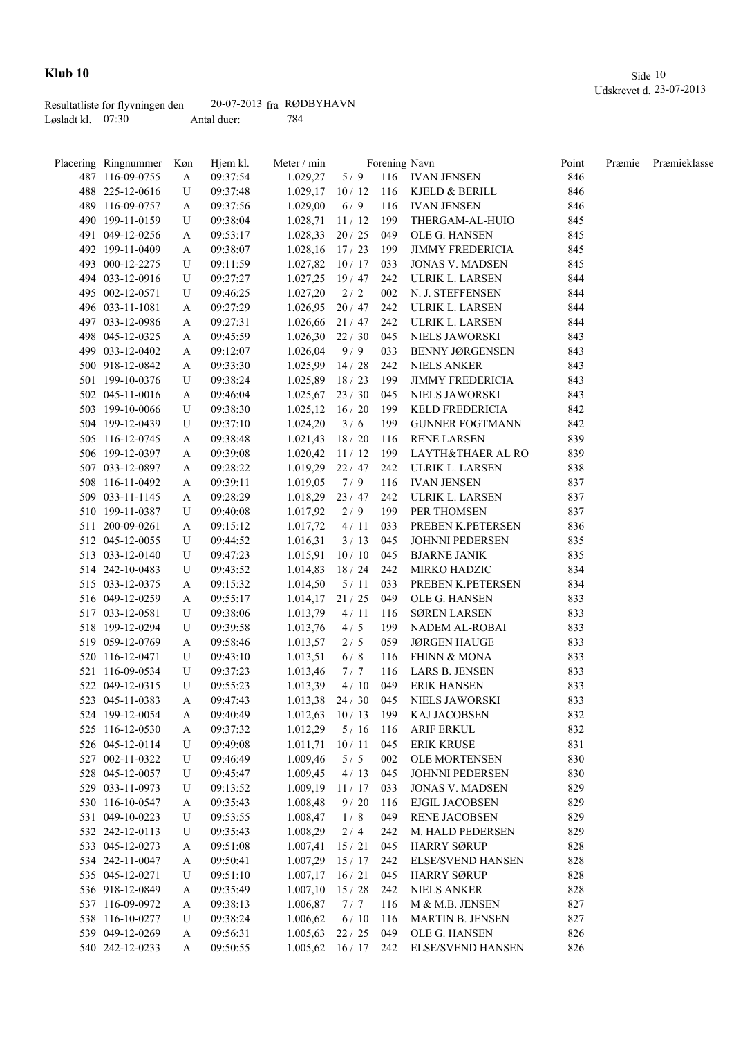|                     | Resultatliste for flyvningen den | $20-07-2013$ fra RØDBYHAVN |     |
|---------------------|----------------------------------|----------------------------|-----|
| Løsladt kl. $07:30$ |                                  | Antal duer:                | 784 |

| <u>Placering Ringnummer</u> | <u>Køn</u> | Hjem kl. | Meter / min             |                                  |     | Forening Navn                        | Point | Præmie | Præmieklasse |
|-----------------------------|------------|----------|-------------------------|----------------------------------|-----|--------------------------------------|-------|--------|--------------|
| 487 116-09-0755             | A          | 09:37:54 | 1.029,27                |                                  |     | 5/9 116 IVAN JENSEN                  | 846   |        |              |
| 488 225-12-0616             | U          | 09:37:48 |                         |                                  |     | 1.029,17 10 / 12 116 KJELD & BERILL  | 846   |        |              |
| 489 116-09-0757             | A          | 09:37:56 | 1.029,00                | 6/9                              |     | 116 IVAN JENSEN                      | 846   |        |              |
| 490 199-11-0159             | U          | 09:38:04 | $1.028,71$ $11/12$ 199  |                                  |     | THERGAM-AL-HUIO                      | 845   |        |              |
| 491 049-12-0256             | A          | 09:53:17 | $1.028,33$ 20 / 25 049  |                                  |     | OLE G. HANSEN                        | 845   |        |              |
| 492 199-11-0409             | A          | 09:38:07 | $1.028,16$ $17/23$ 199  |                                  |     | <b>JIMMY FREDERICIA</b>              | 845   |        |              |
| 493 000-12-2275             | U          | 09:11:59 | $1.027,82$ $10/17$ 033  |                                  |     | <b>JONAS V. MADSEN</b>               | 845   |        |              |
| 494 033-12-0916             | U          | 09:27:27 |                         | 1.027,25 19/47 242               |     | ULRIK L. LARSEN                      | 844   |        |              |
| 495 002-12-0571             | U          | 09:46:25 | 1.027,20                | 2/2                              | 002 | N. J. STEFFENSEN                     | 844   |        |              |
| 496 033-11-1081             | A          | 09:27:29 | 1.026,95                | $20/47$ 242                      |     | ULRIK L. LARSEN                      | 844   |        |              |
| 497 033-12-0986             | A          | 09:27:31 | 1.026,66                | $21/47$ 242                      |     | ULRIK L. LARSEN                      | 844   |        |              |
| 498 045-12-0325             | A          | 09:45:59 | 1.026,30                | 22/30                            | 045 | NIELS JAWORSKI                       | 843   |        |              |
| 499 033-12-0402             | A          | 09:12:07 | 1.026,04                | 9/9                              | 033 | <b>BENNY JØRGENSEN</b>               | 843   |        |              |
| 500 918-12-0842             | A          | 09:33:30 | 1.025,99                | 14/28                            | 242 | <b>NIELS ANKER</b>                   | 843   |        |              |
| 501 199-10-0376             | U          | 09:38:24 | 1.025,89                | 18/23                            | 199 | <b>JIMMY FREDERICIA</b>              | 843   |        |              |
| 502 045-11-0016             | A          | 09:46:04 | $1.025,67$ 23 / 30      |                                  | 045 | NIELS JAWORSKI                       | 843   |        |              |
| 503 199-10-0066             | U          | 09:38:30 | $1.025, 12 \quad 16/20$ |                                  | 199 | KELD FREDERICIA                      | 842   |        |              |
| 504 199-12-0439             | U          | 09:37:10 | 1.024,20                | 3/6                              | 199 | <b>GUNNER FOGTMANN</b>               | 842   |        |              |
| 505 116-12-0745             | A          | 09:38:48 | $1.021,43$ 18 / 20      |                                  | 116 | RENE LARSEN                          | 839   |        |              |
| 506 199-12-0397             | A          | 09:39:08 | $1.020,42$ 11/12        |                                  |     | 199 LAYTH&THAER AL RO                | 839   |        |              |
| 507 033-12-0897             | A          | 09:28:22 |                         |                                  |     | 1.019,29 22 / 47 242 ULRIK L. LARSEN | 838   |        |              |
| 508 116-11-0492             | A          | 09:39:11 | 1.019,05                | 7/9                              | 116 | IVAN JENSEN                          | 837   |        |              |
| 509 033-11-1145             |            | 09:28:29 | $1.018,29$ 23 / 47      |                                  | 242 | ULRIK L. LARSEN                      | 837   |        |              |
| 510 199-11-0387             | A<br>U     |          |                         | 2/9                              | 199 | PER THOMSEN                          | 837   |        |              |
|                             |            | 09:40:08 | 1.017,92                |                                  |     |                                      |       |        |              |
| 511 200-09-0261             | A          | 09:15:12 | 1.017,72                | 4/11                             | 033 | PREBEN K.PETERSEN                    | 836   |        |              |
| 512 045-12-0055             | U          | 09:44:52 | 1.016,31                | 3/13                             | 045 | <b>JOHNNI PEDERSEN</b>               | 835   |        |              |
| 513 033-12-0140             | U          | 09:47:23 | 1.015,91                | 10/10                            | 045 | <b>BJARNE JANIK</b>                  | 835   |        |              |
| 514 242-10-0483             | U          | 09:43:52 | 1.014,83                | $18/24$ 242                      |     | MIRKO HADZIC                         | 834   |        |              |
| 515 033-12-0375             | A          | 09:15:32 | 1.014,50                | 5/11                             | 033 | PREBEN K.PETERSEN                    | 834   |        |              |
| 516 049-12-0259             | A          | 09:55:17 | 1.014,17                | 21/25                            | 049 | OLE G. HANSEN                        | 833   |        |              |
| 517 033-12-0581             | U          | 09:38:06 | 1.013,79                | 4/11                             | 116 | <b>SØREN LARSEN</b>                  | 833   |        |              |
| 518 199-12-0294             | U          | 09:39:58 | 1.013,76                | 4/5                              | 199 | NADEM AL-ROBAI                       | 833   |        |              |
| 519 059-12-0769             | A          | 09:58:46 | 1.013,57                | 2/5                              | 059 | <b>JØRGEN HAUGE</b>                  | 833   |        |              |
| 520 116-12-0471             | U          | 09:43:10 | 1.013,51                | 6/8                              | 116 | <b>FHINN &amp; MONA</b>              | 833   |        |              |
| 521 116-09-0534             | U          | 09:37:23 | 1.013,46                | 7/7                              | 116 | LARS B. JENSEN                       | 833   |        |              |
| 522 049-12-0315             | U          | 09:55:23 | 1.013,39                | 4/10                             | 049 | <b>ERIK HANSEN</b>                   | 833   |        |              |
| 523 045-11-0383             | A          | 09:47:43 |                         |                                  |     | 1.013,38 24 / 30 045 NIELS JAWORSKI  | 833   |        |              |
| 524 199-12-0054             | A          | 09:40:49 | $1.012,63$ $10/13$      |                                  | 199 | KAJ JACOBSEN                         | 832   |        |              |
| 525 116-12-0530             | A          | 09:37:32 | 1.012,29                | 5/16                             | 116 | <b>ARIF ERKUL</b>                    | 832   |        |              |
| 526 045-12-0114             | U          | 09:49:08 | 1.011,71                | 10/11                            | 045 | <b>ERIK KRUSE</b>                    | 831   |        |              |
| 527 002-11-0322             | U          | 09:46:49 | 1.009,46                | 5/5                              | 002 | OLE MORTENSEN                        | 830   |        |              |
| 528 045-12-0057             | U          | 09:45:47 | 1.009,45                | 4/13                             | 045 | JOHNNI PEDERSEN                      | 830   |        |              |
| 529 033-11-0973             | U          | 09:13:52 | 1.009,19                | 11/17                            | 033 | <b>JONAS V. MADSEN</b>               | 829   |        |              |
| 530 116-10-0547             | A          | 09:35:43 | 1.008,48                | 9/20                             | 116 | <b>EJGIL JACOBSEN</b>                | 829   |        |              |
| 531 049-10-0223             | U          | 09:53:55 | 1.008,47                | 1/8                              | 049 | <b>RENE JACOBSEN</b>                 | 829   |        |              |
| 532 242-12-0113             | U          | 09:35:43 | 1.008,29                | 2/4                              | 242 | M. HALD PEDERSEN                     | 829   |        |              |
| 533 045-12-0273             | A          | 09:51:08 | 1.007,41                | 15/21                            | 045 | <b>HARRY SØRUP</b>                   | 828   |        |              |
| 534 242-11-0047             | A          | 09:50:41 | 1.007,29                | 15/17                            | 242 | <b>ELSE/SVEND HANSEN</b>             | 828   |        |              |
| 535 045-12-0271             | U          | 09:51:10 | $1.007,17$ 16 / 21      |                                  | 045 | <b>HARRY SØRUP</b>                   | 828   |        |              |
| 536 918-12-0849             | A          | 09:35:49 | $1.007,10$ 15 / 28      |                                  | 242 | <b>NIELS ANKER</b>                   | 828   |        |              |
| 537 116-09-0972             | A          | 09:38:13 | 1.006,87                | 7/7                              | 116 | M & M.B. JENSEN                      | 827   |        |              |
| 538 116-10-0277             | U          | 09:38:24 | 1.006,62                | 6/10                             | 116 | <b>MARTIN B. JENSEN</b>              | 827   |        |              |
| 539 049-12-0269             | A          | 09:56:31 | 1.005,63                | 22/25                            | 049 | OLE G. HANSEN                        | 826   |        |              |
| 540 242-12-0233             | A          | 09:50:55 |                         | $1.005,62 \quad 16/17 \quad 242$ |     | ELSE/SVEND HANSEN                    | 826   |        |              |
|                             |            |          |                         |                                  |     |                                      |       |        |              |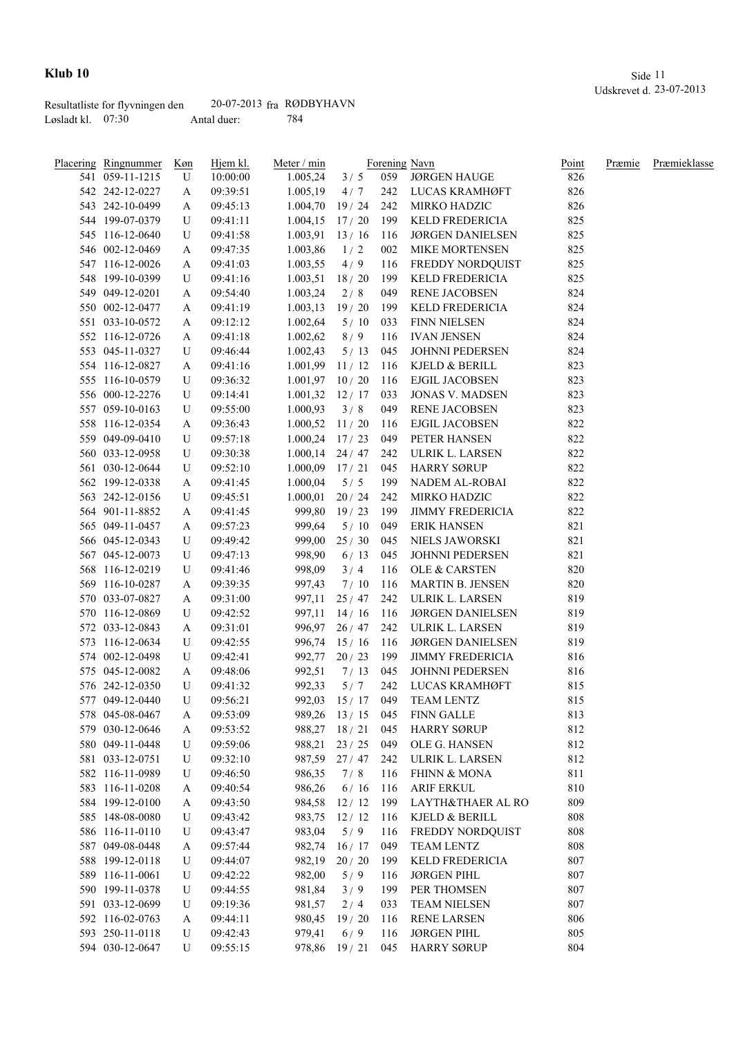|                     | Resultatliste for flyvningen den | $20-07-2013$ fra RØDBYHAVN |     |
|---------------------|----------------------------------|----------------------------|-----|
| Løsladt kl. $07:30$ |                                  | Antal duer:                | 784 |

| Placering Ringnummer | <u>Køn</u> | Hjem kl. | Meter / min         |                  |     | Forening Navn           | Point | Præmie | Præmieklasse |
|----------------------|------------|----------|---------------------|------------------|-----|-------------------------|-------|--------|--------------|
| 541 059-11-1215      | U          | 10:00:00 | 1.005,24            | 3/5              | 059 | <b>JØRGEN HAUGE</b>     | 826   |        |              |
| 542 242-12-0227      | A          | 09:39:51 | 1.005,19            | 4/7              | 242 | LUCAS KRAMHØFT          | 826   |        |              |
| 543 242-10-0499      | A          | 09:45:13 | 1.004,70            | 19/24            | 242 | MIRKO HADZIC            | 826   |        |              |
| 544 199-07-0379      | U          | 09:41:11 | $1.004, 15$ 17/20   |                  | 199 | KELD FREDERICIA         | 825   |        |              |
| 545 116-12-0640      | U          | 09:41:58 | $1.003,91$ 13 / 16  |                  | 116 | <b>JØRGEN DANIELSEN</b> | 825   |        |              |
| 546 002-12-0469      | A          | 09:47:35 | 1.003,86            | 1/2              | 002 | MIKE MORTENSEN          | 825   |        |              |
| 547 116-12-0026      | A          | 09:41:03 | 1.003,55            | 4/9              | 116 | FREDDY NORDQUIST        | 825   |        |              |
| 548 199-10-0399      | U          | 09:41:16 | 1.003,51            | 18/20            | 199 | KELD FREDERICIA         | 825   |        |              |
| 549 049-12-0201      | A          | 09:54:40 | 1.003,24            | 2/8              | 049 | <b>RENE JACOBSEN</b>    | 824   |        |              |
| 550 002-12-0477      | A          | 09:41:19 | 1.003, 13           | 19/20            | 199 | KELD FREDERICIA         | 824   |        |              |
| 551 033-10-0572      | A          | 09:12:12 | 1.002,64            | 5/10             | 033 | <b>FINN NIELSEN</b>     | 824   |        |              |
| 552 116-12-0726      | A          | 09:41:18 | 1.002,62            | 8/9              | 116 | <b>IVAN JENSEN</b>      | 824   |        |              |
| 553 045-11-0327      | U          | 09:46:44 | 1.002,43            | 5/13             | 045 | JOHNNI PEDERSEN         | 824   |        |              |
| 554 116-12-0827      | A          | 09:41:16 | 1.001,99            | 11/12            | 116 | KJELD & BERILL          | 823   |        |              |
| 555 116-10-0579      | U          | 09:36:32 | $1.001,97$ 10 / 20  |                  | 116 | <b>EJGIL JACOBSEN</b>   | 823   |        |              |
| 556 000-12-2276      | U          | 09:14:41 | 1.001,32            | 12/17            | 033 | <b>JONAS V. MADSEN</b>  | 823   |        |              |
| 557 059-10-0163      | U          | 09:55:00 | 1.000,93            | 3/8              | 049 | RENE JACOBSEN           | 823   |        |              |
| 558 116-12-0354      | A          | 09:36:43 | 1.000,52            | 11/20            | 116 | EJGIL JACOBSEN          | 822   |        |              |
| 559 049-09-0410      | U          | 09:57:18 | 1.000,24            | 17/23            | 049 | PETER HANSEN            | 822   |        |              |
| 560 033-12-0958      | U          | 09:30:38 | $1.000, 14$ 24 / 47 |                  | 242 | ULRIK L. LARSEN         | 822   |        |              |
| 561 030-12-0644      | U          | 09:52:10 | $1.000,09$ 17/21    |                  | 045 | <b>HARRY SØRUP</b>      | 822   |        |              |
| 562 199-12-0338      | A          | 09:41:45 | 1.000,04            | 5/5              | 199 | NADEM AL-ROBAI          | 822   |        |              |
| 563 242-12-0156      | U          | 09:45:51 | 1.000,01            | 20/24            | 242 | MIRKO HADZIC            | 822   |        |              |
| 564 901-11-8852      | A          | 09:41:45 |                     | 999,80 19 / 23   | 199 | <b>JIMMY FREDERICIA</b> | 822   |        |              |
| 565 049-11-0457      | A          | 09:57:23 | 999,64              | 5/10             | 049 | <b>ERIK HANSEN</b>      | 821   |        |              |
| 566 045-12-0343      | U          | 09:49:42 | 999,00              | 25/30            | 045 | NIELS JAWORSKI          | 821   |        |              |
| 567 045-12-0073      | U          | 09:47:13 | 998,90              | 6/13             | 045 | JOHNNI PEDERSEN         | 821   |        |              |
| 568 116-12-0219      | U          |          | 998,09              | 3/4              | 116 | OLE & CARSTEN           | 820   |        |              |
|                      |            | 09:41:46 |                     |                  |     |                         |       |        |              |
| 569 116-10-0287      | A          | 09:39:35 | 997,43              | 7/10             | 116 | MARTIN B. JENSEN        | 820   |        |              |
| 570 033-07-0827      | A          | 09:31:00 | 997,11              | 25/47            | 242 | ULRIK L. LARSEN         | 819   |        |              |
| 570 116-12-0869      | U          | 09:42:52 | 997,11              | 14/16            | 116 | <b>JØRGEN DANIELSEN</b> | 819   |        |              |
| 572 033-12-0843      | A          | 09:31:01 |                     | 996,97 26 / 47   | 242 | ULRIK L. LARSEN         | 819   |        |              |
| 573 116-12-0634      | U          | 09:42:55 | 996,74              | 15/16            | 116 | <b>JØRGEN DANIELSEN</b> | 819   |        |              |
| 574 002-12-0498      | U          | 09:42:41 | 992,77              | 20/23            | 199 | <b>JIMMY FREDERICIA</b> | 816   |        |              |
| 575 045-12-0082      | A          | 09:48:06 | 992,51              | 7/13             | 045 | JOHNNI PEDERSEN         | 816   |        |              |
| 576 242-12-0350      | U          | 09:41:32 | 992,33              | 5/7              | 242 | LUCAS KRAMHØFT          | 815   |        |              |
| 577 049-12-0440      | U          | 09:56:21 |                     | 992,03 15/17     | 049 | <b>TEAM LENTZ</b>       | 815   |        |              |
| 578 045-08-0467      | A          | 09:53:09 |                     | 989,26 13/15     | 045 | <b>FINN GALLE</b>       | 813   |        |              |
| 579 030-12-0646      | A          | 09:53:52 |                     | 988,27 18 / 21   | 045 | <b>HARRY SØRUP</b>      | 812   |        |              |
| 580 049-11-0448      | U          | 09:59:06 |                     | 988,21 23 / 25   | 049 | OLE G. HANSEN           | 812   |        |              |
| 581 033-12-0751      | U          | 09:32:10 |                     | 987,59 27/47 242 |     | ULRIK L. LARSEN         | 812   |        |              |
| 582 116-11-0989      | U          | 09:46:50 | 986,35              | 7/8              | 116 | <b>FHINN &amp; MONA</b> | 811   |        |              |
| 583 116-11-0208      | A          | 09:40:54 | 986,26              | 6/16             | 116 | <b>ARIF ERKUL</b>       | 810   |        |              |
| 584 199-12-0100      | A          | 09:43:50 | 984,58              | 12/12            | 199 | LAYTH&THAER AL RO       | 809   |        |              |
| 585 148-08-0080      | U          | 09:43:42 | 983,75              | 12/12            | 116 | KJELD & BERILL          | 808   |        |              |
| 586 116-11-0110      | U          | 09:43:47 | 983,04              | 5/9              | 116 | FREDDY NORDQUIST        | 808   |        |              |
| 587 049-08-0448      | A          | 09:57:44 | 982,74              | 16/17            | 049 | TEAM LENTZ              | 808   |        |              |
| 588 199-12-0118      | U          | 09:44:07 | 982,19              | 20/20            | 199 | KELD FREDERICIA         | 807   |        |              |
| 589 116-11-0061      | U          | 09:42:22 | 982,00              | 5/9              | 116 | <b>JØRGEN PIHL</b>      | 807   |        |              |
| 590 199-11-0378      | U          | 09:44:55 | 981,84              | 3/9              | 199 | PER THOMSEN             | 807   |        |              |
| 591 033-12-0699      | U          | 09:19:36 | 981,57              | 2/4              | 033 | <b>TEAM NIELSEN</b>     | 807   |        |              |
| 592 116-02-0763      | A          | 09:44:11 | 980,45              | 19/20            | 116 | <b>RENE LARSEN</b>      | 806   |        |              |
| 593 250-11-0118      | U          | 09:42:43 | 979,41              | 6/9              | 116 | <b>JØRGEN PIHL</b>      | 805   |        |              |
| 594 030-12-0647      | U          | 09:55:15 |                     | 978,86 19/21     | 045 | <b>HARRY SØRUP</b>      | 804   |        |              |
|                      |            |          |                     |                  |     |                         |       |        |              |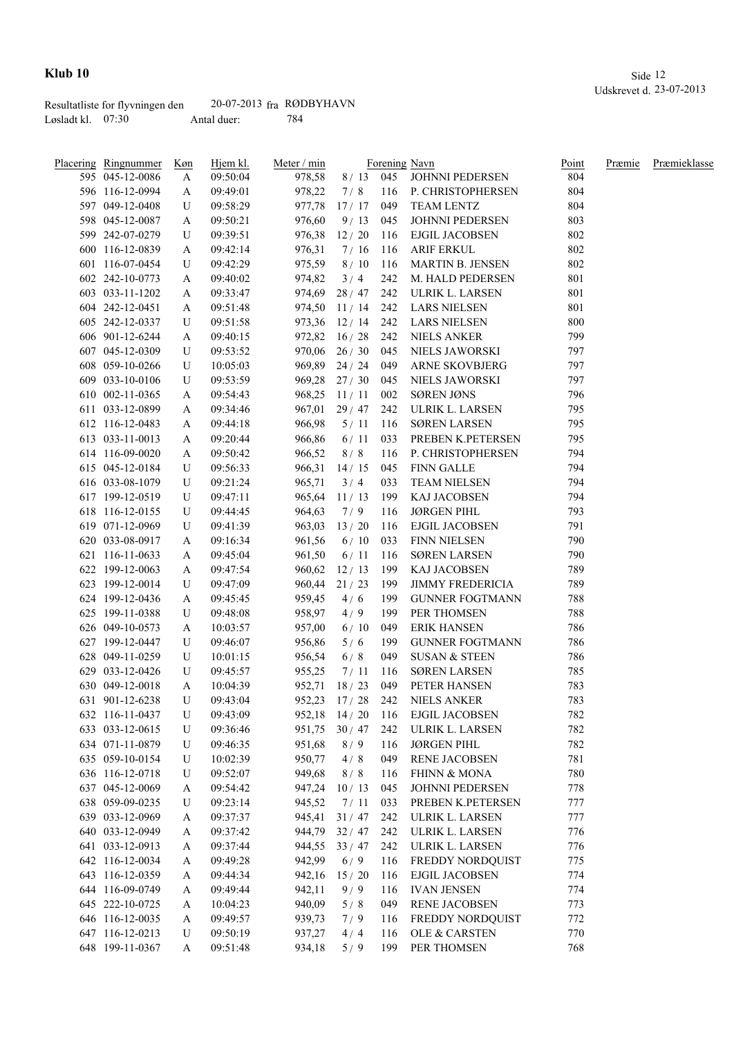|                     | Resultatliste for flyvningen den | $20-07-2013$ fra RØDBYHAVN |     |
|---------------------|----------------------------------|----------------------------|-----|
| Løsladt kl. $07:30$ |                                  | Antal duer:                | 784 |

| Placering Ringnummer | <u>Køn</u> | Hjem kl. | Meter / min |              |     | Forening Navn                  | Point      | Præmie | Præmieklasse |
|----------------------|------------|----------|-------------|--------------|-----|--------------------------------|------------|--------|--------------|
| 595 045-12-0086      | A          | 09:50:04 | 978,58      | $8/13$ 045   |     | JOHNNI PEDERSEN                | 804        |        |              |
| 596 116-12-0994      | A          | 09:49:01 | 978,22      | 7/8          | 116 | P. CHRISTOPHERSEN              | 804        |        |              |
| 597 049-12-0408      | U          | 09:58:29 | 977,78      | 17/17        | 049 | <b>TEAM LENTZ</b>              | 804        |        |              |
| 598 045-12-0087      | A          | 09:50:21 | 976,60      | 9/13         | 045 | JOHNNI PEDERSEN                | 803        |        |              |
| 599 242-07-0279      | U          | 09:39:51 | 976,38      | 12/20        | 116 | <b>EJGIL JACOBSEN</b>          | 802        |        |              |
| 600 116-12-0839      | A          | 09:42:14 | 976,31      | 7/16         | 116 | <b>ARIF ERKUL</b>              | 802        |        |              |
| 601 116-07-0454      | U          | 09:42:29 | 975,59      | 8/10         | 116 | <b>MARTIN B. JENSEN</b>        | 802        |        |              |
| 602 242-10-0773      | A          | 09:40:02 | 974,82      | 3/4          | 242 | M. HALD PEDERSEN               | 801        |        |              |
| 603 033-11-1202      | A          | 09:33:47 | 974,69      | 28/47        | 242 | ULRIK L. LARSEN                | 801        |        |              |
| 604 242-12-0451      | A          | 09:51:48 | 974,50      | 11/14        | 242 | <b>LARS NIELSEN</b>            | 801        |        |              |
| 605 242-12-0337      | U          | 09:51:58 |             | 973,36 12/14 | 242 | <b>LARS NIELSEN</b>            | 800        |        |              |
| 606 901-12-6244      | A          | 09:40:15 | 972,82      | 16/28        | 242 | <b>NIELS ANKER</b>             | 799        |        |              |
| 607 045-12-0309      | U          | 09:53:52 | 970,06      | 26/30        | 045 | NIELS JAWORSKI                 | 797        |        |              |
| 608 059-10-0266      | U          | 10:05:03 | 969,89      | 24/24        | 049 | ARNE SKOVBJERG                 | 797        |        |              |
| 609 033-10-0106      | U          | 09:53:59 | 969,28      | 27/30        | 045 | NIELS JAWORSKI                 | 797        |        |              |
| 610 002-11-0365      | A          | 09:54:43 | 968,25      | 11/11        | 002 | <b>SØREN JØNS</b>              | 796        |        |              |
| 611 033-12-0899      | A          | 09:34:46 | 967,01      | 29/47        | 242 | ULRIK L. LARSEN                | 795        |        |              |
| 612 116-12-0483      | A          | 09:44:18 | 966,98      | 5/11         | 116 | <b>SØREN LARSEN</b>            | 795        |        |              |
| 613 033-11-0013      | A          | 09:20:44 | 966,86      | 6/11         | 033 | PREBEN K.PETERSEN              | 795        |        |              |
| 614 116-09-0020      | A          | 09:50:42 | 966,52      | 8/8          | 116 | P. CHRISTOPHERSEN              | 794        |        |              |
| 615 045-12-0184      | U          | 09:56:33 | 966,31      | 14/15        | 045 | <b>FINN GALLE</b>              | 794        |        |              |
| 616 033-08-1079      | U          | 09:21:24 | 965,71      | 3/4          | 033 | <b>TEAM NIELSEN</b>            | 794        |        |              |
| 617 199-12-0519      | U          | 09:47:11 | 965,64      | 11/13        | 199 | KAJ JACOBSEN                   | 794        |        |              |
| 618 116-12-0155      | U          | 09:44:45 | 964,63      | 7/9          | 116 | <b>JØRGEN PIHL</b>             | 793        |        |              |
| 619 071-12-0969      |            |          |             |              | 116 | <b>EJGIL JACOBSEN</b>          | 791        |        |              |
|                      | U          | 09:41:39 | 963,03      | 13/20        |     |                                | 790        |        |              |
| 620 033-08-0917      | A          | 09:16:34 | 961,56      | 6/10         | 033 | FINN NIELSEN                   |            |        |              |
| 621 116-11-0633      | A          | 09:45:04 | 961,50      | 6/11         | 116 | <b>SØREN LARSEN</b>            | 790<br>789 |        |              |
| 622 199-12-0063      | A          | 09:47:54 | 960,62      | 12/13        | 199 | KAJ JACOBSEN                   |            |        |              |
| 623 199-12-0014      | U          | 09:47:09 | 960,44      | 21/23        | 199 | <b>JIMMY FREDERICIA</b>        | 789        |        |              |
| 624 199-12-0436      | A          | 09:45:45 | 959,45      | 4/6          | 199 | <b>GUNNER FOGTMANN</b>         | 788        |        |              |
| 625 199-11-0388      | U          | 09:48:08 | 958,97      | 4/9          | 199 | PER THOMSEN                    | 788        |        |              |
| 626 049-10-0573      | A          | 10:03:57 | 957,00      | 6/10         | 049 | <b>ERIK HANSEN</b>             | 786        |        |              |
| 627 199-12-0447      | U          | 09:46:07 | 956,86      | 5/6          | 199 | <b>GUNNER FOGTMANN</b>         | 786        |        |              |
| 628 049-11-0259      | U          | 10:01:15 | 956,54      | 6/8          | 049 | <b>SUSAN &amp; STEEN</b>       | 786        |        |              |
| 629 033-12-0426      | U          | 09:45:57 | 955,25      | 7/11         | 116 | <b>SØREN LARSEN</b>            | 785        |        |              |
| 630 049-12-0018      | A          | 10:04:39 | 952,71      | 18/23        | 049 | PETER HANSEN                   | 783        |        |              |
| 631 901-12-6238      | U          | 09:43:04 |             |              |     | 952,23 17 / 28 242 NIELS ANKER | 783        |        |              |
| 632 116-11-0437      | U          | 09:43:09 | 952,18      | 14/20        | 116 | <b>EJGIL JACOBSEN</b>          | 782        |        |              |
| 633 033-12-0615      | U          | 09:36:46 | 951,75      | 30/47        | 242 | ULRIK L. LARSEN                | 782        |        |              |
| 634 071-11-0879      | U          | 09:46:35 | 951,68      | 8/9          | 116 | <b>JØRGEN PIHL</b>             | 782        |        |              |
| 635 059-10-0154      | U          | 10:02:39 | 950,77      | 4/8          | 049 | RENE JACOBSEN                  | 781        |        |              |
| 636 116-12-0718      | U          | 09:52:07 | 949,68      | 8/8          | 116 | <b>FHINN &amp; MONA</b>        | 780        |        |              |
| 637 045-12-0069      | A          | 09:54:42 | 947,24      | 10/13        | 045 | JOHNNI PEDERSEN                | 778        |        |              |
| 638 059-09-0235      | U          | 09:23:14 | 945,52      | 7/11         | 033 | PREBEN K.PETERSEN              | 777        |        |              |
| 639 033-12-0969      | A          | 09:37:37 | 945,41      | 31/47        | 242 | ULRIK L. LARSEN                | 777        |        |              |
| 640 033-12-0949      | A          | 09:37:42 | 944,79      | 32/47        | 242 | ULRIK L. LARSEN                | 776        |        |              |
| 641 033-12-0913      | A          | 09:37:44 | 944,55      | 33/47        | 242 | ULRIK L. LARSEN                | 776        |        |              |
| 642 116-12-0034      | A          | 09:49:28 | 942,99      | 6/9          | 116 | FREDDY NORDQUIST               | 775        |        |              |
| 643 116-12-0359      | A          | 09:44:34 | 942,16      | 15/20        | 116 | EJGIL JACOBSEN                 | 774        |        |              |
| 644 116-09-0749      | A          | 09:49:44 | 942,11      | 9/9          | 116 | <b>IVAN JENSEN</b>             | 774        |        |              |
| 645 222-10-0725      | A          | 10:04:23 | 940,09      | 5/8          | 049 | <b>RENE JACOBSEN</b>           | 773        |        |              |
| 646 116-12-0035      | A          | 09:49:57 | 939,73      | 7/9          | 116 | FREDDY NORDQUIST               | 772        |        |              |
| 647 116-12-0213      | U          | 09:50:19 | 937,27      | 4/4          | 116 | OLE & CARSTEN                  | 770        |        |              |
| 648 199-11-0367      | A          | 09:51:48 | 934,18      | 5/9          | 199 | PER THOMSEN                    | 768        |        |              |
|                      |            |          |             |              |     |                                |            |        |              |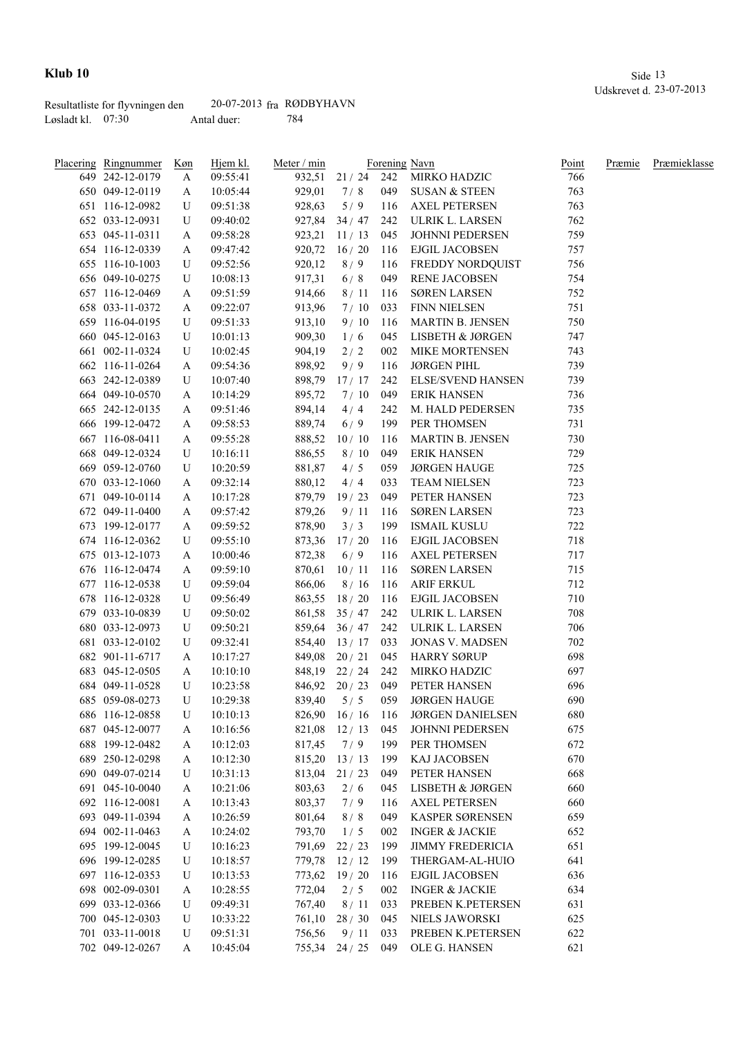|                     | Resultatliste for flyvningen den | $20-07-2013$ fra RØDBYHAVN |     |
|---------------------|----------------------------------|----------------------------|-----|
| Løsladt kl. $07:30$ |                                  | Antal duer:                | 784 |

| <b>Placering Ringnummer</b>        | Køn | Hjem kl.             | Meter / min |                    |            | Forening Navn                              | Point      | Præmie | Præmieklasse |
|------------------------------------|-----|----------------------|-------------|--------------------|------------|--------------------------------------------|------------|--------|--------------|
| 649 242-12-0179                    | A   | 09:55:41             | 932,51      | $21 / 24$ 242      |            | MIRKO HADZIC                               | 766        |        |              |
| 650 049-12-0119                    | A   | 10:05:44             | 929,01      | 7/8                | 049        | SUSAN & STEEN                              | 763        |        |              |
| 651 116-12-0982                    | U   | 09:51:38             | 928,63      | 5/9                | 116        | <b>AXEL PETERSEN</b>                       | 763        |        |              |
| 652 033-12-0931                    | U   | 09:40:02             | 927,84      | 34/47              | 242        | ULRIK L. LARSEN                            | 762        |        |              |
| 653 045-11-0311                    | A   | 09:58:28             |             | 923,21 11/13       | 045        | JOHNNI PEDERSEN                            | 759        |        |              |
| 654 116-12-0339                    | A   | 09:47:42             | 920,72      | 16/20              | 116        | <b>EJGIL JACOBSEN</b>                      | 757        |        |              |
| 655 116-10-1003                    | U   | 09:52:56             | 920,12      | 8/9                | 116        | FREDDY NORDQUIST                           | 756        |        |              |
| 656 049-10-0275                    | U   | 10:08:13             | 917,31      | 6/8                | 049        | <b>RENE JACOBSEN</b>                       | 754        |        |              |
| 657 116-12-0469                    | A   | 09:51:59             | 914,66      | 8/11               | 116        | <b>SØREN LARSEN</b>                        | 752        |        |              |
| 658 033-11-0372                    | A   | 09:22:07             | 913,96      | 7/10               | 033        | <b>FINN NIELSEN</b>                        | 751        |        |              |
| 659 116-04-0195                    | U   | 09:51:33             | 913,10      | 9/10               | 116        | <b>MARTIN B. JENSEN</b>                    | 750        |        |              |
| 660 045-12-0163                    | U   | 10:01:13             | 909,30      | 1/6                | 045        | LISBETH & JØRGEN                           | 747        |        |              |
| 661 002-11-0324                    | U   | 10:02:45             | 904,19      | 2/2                | 002        | <b>MIKE MORTENSEN</b>                      | 743        |        |              |
| 662 116-11-0264                    | A   | 09:54:36             | 898,92      | 9/9                | 116        | <b>JØRGEN PIHL</b>                         | 739        |        |              |
| 663 242-12-0389                    | U   | 10:07:40             | 898,79      | 17/17              | 242        | <b>ELSE/SVEND HANSEN</b>                   | 739        |        |              |
| 664 049-10-0570                    | A   | 10:14:29             | 895,72      | 7/10               | 049        | <b>ERIK HANSEN</b>                         | 736        |        |              |
| 665 242-12-0135                    | A   | 09:51:46             | 894,14      | 4/4                | 242        | M. HALD PEDERSEN                           | 735        |        |              |
| 666 199-12-0472                    | A   | 09:58:53             | 889,74      | 6/9                | 199        | PER THOMSEN                                | 731        |        |              |
| 667 116-08-0411                    |     | 09:55:28             | 888,52      | 10/10              | 116        | MARTIN B. JENSEN                           | 730        |        |              |
| 668 049-12-0324                    | A   |                      |             |                    |            |                                            |            |        |              |
|                                    | U   | 10:16:11<br>10:20:59 | 886,55      | $8/10$             | 049        | <b>ERIK HANSEN</b>                         | 729        |        |              |
| 669 059-12-0760<br>670 033-12-1060 | U   |                      | 881,87      | 4/5                | 059<br>033 | <b>JØRGEN HAUGE</b><br><b>TEAM NIELSEN</b> | 725<br>723 |        |              |
|                                    | A   | 09:32:14             | 880,12      | 4/4                |            |                                            |            |        |              |
| 671 049-10-0114                    | A   | 10:17:28             | 879,79      | 19/23              | 049        | PETER HANSEN                               | 723        |        |              |
| 672 049-11-0400                    | A   | 09:57:42             | 879,26      | 9/11               | 116        | <b>SØREN LARSEN</b>                        | 723        |        |              |
| 673 199-12-0177                    | A   | 09:59:52             | 878,90      | 3/3                | 199        | ISMAIL KUSLU                               | 722        |        |              |
| 674 116-12-0362                    | U   | 09:55:10             | 873,36      | 17/20              | 116        | EJGIL JACOBSEN                             | 718        |        |              |
| 675 013-12-1073                    | A   | 10:00:46             | 872,38      | 6/9                | 116        | <b>AXEL PETERSEN</b>                       | 717        |        |              |
| 676 116-12-0474                    | A   | 09:59:10             | 870,61      | 10/11              | 116        | SØREN LARSEN                               | 715        |        |              |
| 677 116-12-0538                    | U   | 09:59:04             | 866,06      | 8/16               | 116        | <b>ARIF ERKUL</b>                          | 712        |        |              |
| 678 116-12-0328                    | U   | 09:56:49             | 863,55      | 18/20              | 116        | EJGIL JACOBSEN                             | 710        |        |              |
| 679 033-10-0839                    | U   | 09:50:02             | 861,58      | 35/47              | 242        | ULRIK L. LARSEN                            | 708        |        |              |
| 680 033-12-0973                    | U   | 09:50:21             | 859,64      | 36/47              | 242        | ULRIK L. LARSEN                            | 706        |        |              |
| 681 033-12-0102                    | U   | 09:32:41             | 854,40      | 13/17              | 033        | <b>JONAS V. MADSEN</b>                     | 702        |        |              |
| 682 901-11-6717                    | A   | 10:17:27             | 849,08      | 20/21              | 045        | <b>HARRY SØRUP</b>                         | 698        |        |              |
| 683 045-12-0505                    | A   | 10:10:10             |             | 848,19 22 / 24     | 242        | MIRKO HADZIC                               | 697        |        |              |
| 684 049-11-0528                    | U   | 10:23:58             |             | 846,92 20 / 23     | 049        | PETER HANSEN                               | 696        |        |              |
| 685 059-08-0273                    | U   | 10:29:38             | 839,40      | 5/5                | 059        | <b>JØRGEN HAUGE</b>                        | 690        |        |              |
| 686 116-12-0858                    | U   | 10:10:13             | 826,90      | 16/16              | 116        | <b>JØRGEN DANIELSEN</b>                    | 680        |        |              |
| 687 045-12-0077                    | A   | 10:16:56             | 821,08      | 12/13              | 045        | JOHNNI PEDERSEN                            | 675        |        |              |
| 688 199-12-0482                    | A   | 10:12:03             | 817,45      | 7/9                | 199        | PER THOMSEN                                | 672        |        |              |
| 689 250-12-0298                    | A   | 10:12:30             | 815,20      | 13/13              | 199        | KAJ JACOBSEN                               | 670        |        |              |
| 690 049-07-0214                    | U   | 10:31:13             | 813,04      | 21/23              | 049        | PETER HANSEN                               | 668        |        |              |
| 691 045-10-0040                    | A   | 10:21:06             | 803,63      | 2/6                | 045        | LISBETH & JØRGEN                           | 660        |        |              |
| 692 116-12-0081                    | A   | 10:13:43             | 803,37      | 7/9                | 116        | <b>AXEL PETERSEN</b>                       | 660        |        |              |
| 693 049-11-0394                    | A   | 10:26:59             | 801,64      | 8/8                | 049        | KASPER SØRENSEN                            | 659        |        |              |
| 694 002-11-0463                    | A   | 10:24:02             | 793,70      | 1/5                | 002        | <b>INGER &amp; JACKIE</b>                  | 652        |        |              |
| 695 199-12-0045                    | U   | 10:16:23             | 791,69      | 22/23              | 199        | <b>JIMMY FREDERICIA</b>                    | 651        |        |              |
| 696 199-12-0285                    | U   | 10:18:57             | 779,78      | 12/12              | 199        | THERGAM-AL-HUIO                            | 641        |        |              |
| 697 116-12-0353                    | U   | 10:13:53             | 773,62      | 19/20              | 116        | <b>EJGIL JACOBSEN</b>                      | 636        |        |              |
| 698 002-09-0301                    | A   | 10:28:55             | 772,04      | 2/5                | 002        | <b>INGER &amp; JACKIE</b>                  | 634        |        |              |
| 699 033-12-0366                    | U   | 09:49:31             | 767,40      | 8/11               | 033        | PREBEN K.PETERSEN                          | 631        |        |              |
| 700 045-12-0303                    | U   | 10:33:22             | 761,10      | 28/30              | 045        | NIELS JAWORSKI                             | 625        |        |              |
| 701 033-11-0018                    | U   | 09:51:31             | 756,56      | 9/11               | 033        | PREBEN K.PETERSEN                          | 622        |        |              |
| 702 049-12-0267                    | A   | 10:45:04             |             | 755,34 24 / 25 049 |            | OLE G. HANSEN                              | 621        |        |              |
|                                    |     |                      |             |                    |            |                                            |            |        |              |